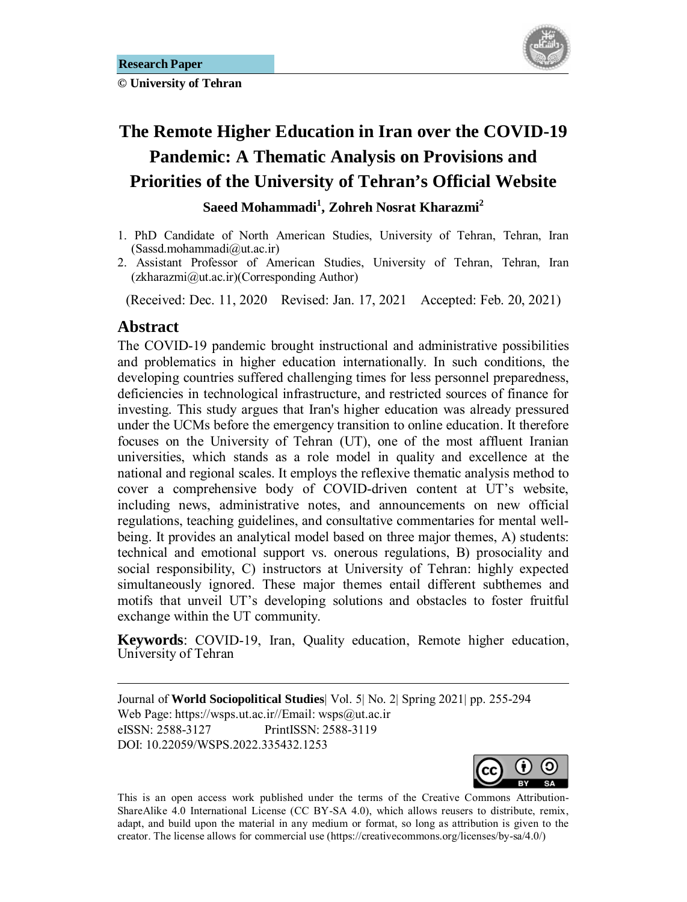

# **The Remote Higher Education in Iran over the COVID-19 Pandemic: A Thematic Analysis on Provisions and Priorities of the University of Tehran's Official Website Saeed Mohammadi<sup>1</sup> , Zohreh Nosrat Kharazmi<sup>2</sup>**

- 1. PhD Candidate of North American Studies, University of Tehran, Tehran, Iran  $(Sassd.mohammadi@ut.ac.ir)$
- 2. Assistant Professor of American Studies, University of Tehran, Tehran, Iran (zkharazmi@ut.ac.ir)(Corresponding Author)

(Received: Dec. 11, 2020 Revised: Jan. 17, 2021 Accepted: Feb. 20, 2021)

### Abstract

<u>.</u>

The COVID-19 pandemic brought instructional and administrative possibilities and problematics in higher education internationally. In such conditions, the developing countries suffered challenging times for less personnel preparedness, deficiencies in technological infrastructure, and restricted sources of finance for investing. This study argues that Iran's higher education was already pressured under the UCMs before the emergency transition to online education. It therefore focuses on the University of Tehran (UT), one of the most affluent Iranian universities, which stands as a role model in quality and excellence at the national and regional scales. It employs the reflexive thematic analysis method to cover a comprehensive body of COVID-driven content at UT's website, including news, administrative notes, and announcements on new official regulations, teaching guidelines, and consultative commentaries for mental wellbeing. It provides an analytical model based on three major themes, A) students: technical and emotional support vs. onerous regulations, B) prosociality and social responsibility, C) instructors at University of Tehran: highly expected simultaneously ignored. These major themes entail different subthemes and motifs that unveil UT's developing solutions and obstacles to foster fruitful exchange within the UT community.

**Keywords**: COVID-19, Iran, Quality education, Remote higher education, University of Tehran

Journal of **World Sociopolitical Studies**| Vol. 5| No. 2| Spring 2021| pp. 255-294 Web Page: https://wsps.ut.ac.ir//Email: wsps@ut.ac.ir eISSN: 2588-3127 PrintISSN: 2588-3119 DOI: 10.22059/WSPS.2022.335432.1253



This is an open access work published under the terms of the Creative Commons Attribution-ShareAlike 4.0 International License (CC BY-SA 4.0), which allows reusers to distribute, remix, adapt, and build upon the material in any medium or format, so long as attribution is given to the creator. The license allows for commercial use (https://creativecommons.org/licenses/by-sa/4.0/)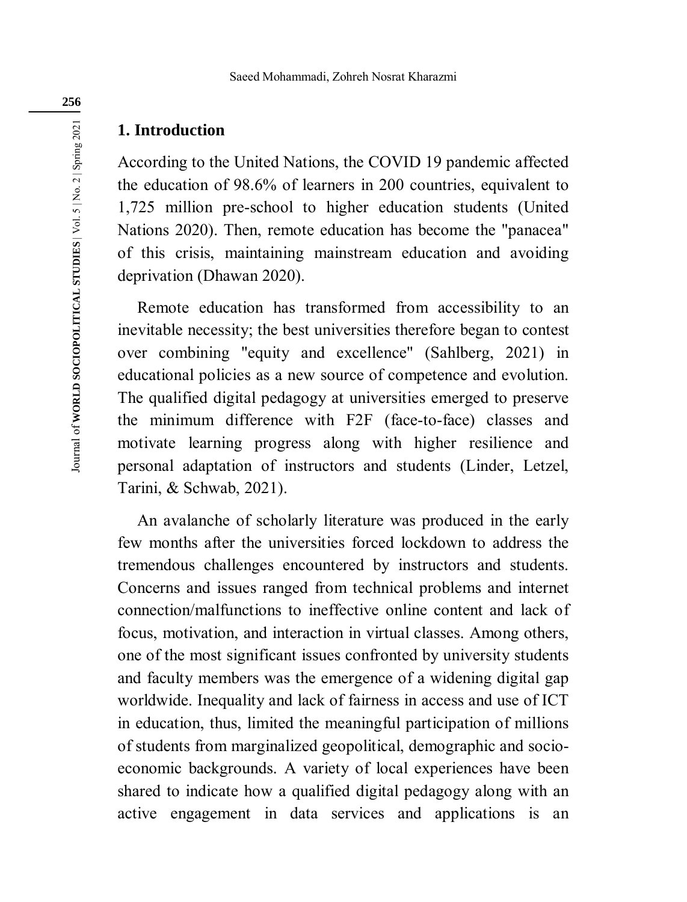### **1. Introduction**

According to the United Nations, the COVID 19 pandemic affected the education of 98.6% of learners in 200 countries, equivalent to 1,725 million pre-school to higher education students (United Nations 2020). Then, remote education has become the "panacea" of this crisis, maintaining mainstream education and avoiding deprivation (Dhawan 2020).

Remote education has transformed from accessibility to an inevitable necessity; the best universities therefore began to contest over combining "equity and excellence" (Sahlberg, 2021) in educational policies as a new source of competence and evolution. The qualified digital pedagogy at universities emerged to preserve the minimum difference with F2F (face-to-face) classes and motivate learning progress along with higher resilience and personal adaptation of instructors and students (Linder, Letzel, Tarini, & Schwab, 2021).

An avalanche of scholarly literature was produced in the early few months after the universities forced lockdown to address the tremendous challenges encountered by instructors and students. Concerns and issues ranged from technical problems and internet connection/malfunctions to ineffective online content and lack of focus, motivation, and interaction in virtual classes. Among others, one of the most significant issues confronted by university students and faculty members was the emergence of a widening digital gap worldwide. Inequality and lack of fairness in access and use of ICT in education, thus, limited the meaningful participation of millions of students from marginalized geopolitical, demographic and socioeconomic backgrounds. A variety of local experiences have been shared to indicate how a qualified digital pedagogy along with an active engagement in data services and applications is an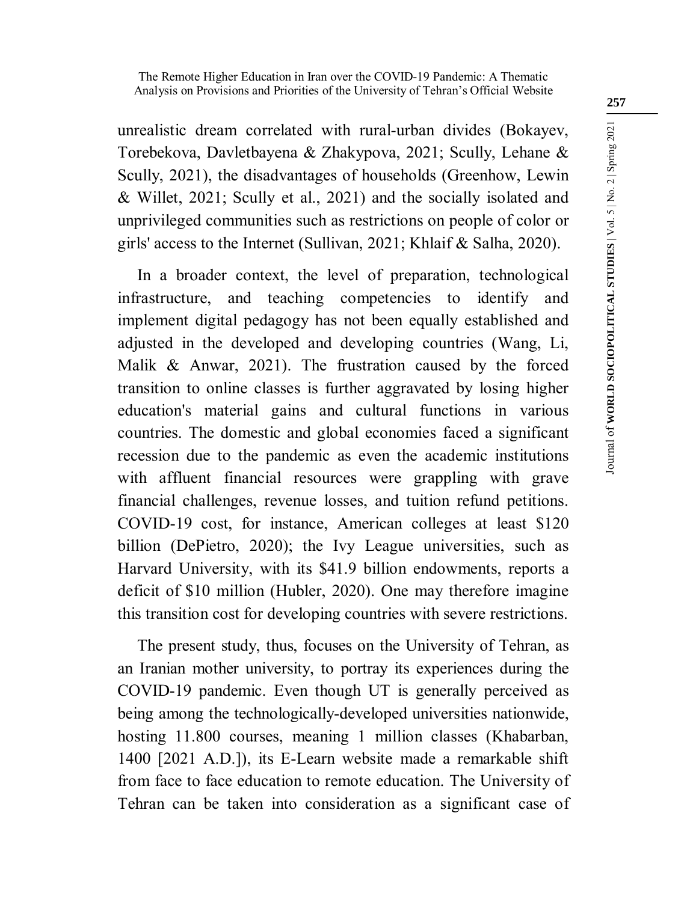unrealistic dream correlated with rural-urban divides (Bokayev, Torebekova, Davletbayena & Zhakypova, 2021; Scully, Lehane & Scully, 2021), the disadvantages of households (Greenhow, Lewin & Willet, 2021; Scully et al., 2021) and the socially isolated and unprivileged communities such as restrictions on people of color or girls' access to the Internet (Sullivan, 2021; Khlaif & Salha, 2020).

In a broader context, the level of preparation, technological infrastructure, and teaching competencies to identify and implement digital pedagogy has not been equally established and adjusted in the developed and developing countries (Wang, Li, Malik & Anwar, 2021). The frustration caused by the forced transition to online classes is further aggravated by losing higher education's material gains and cultural functions in various countries. The domestic and global economies faced a significant recession due to the pandemic as even the academic institutions with affluent financial resources were grappling with grave financial challenges, revenue losses, and tuition refund petitions. COVID-19 cost, for instance, American colleges at least \$120 billion (DePietro, 2020); the Ivy League universities, such as Harvard University, with its \$41.9 billion endowments, reports a deficit of \$10 million (Hubler, 2020). One may therefore imagine this transition cost for developing countries with severe restrictions.

The present study, thus, focuses on the University of Tehran, as an Iranian mother university, to portray its experiences during the COVID-19 pandemic. Even though UT is generally perceived as being among the technologically-developed universities nationwide, hosting 11.800 courses, meaning 1 million classes (Khabarban, 1400 [2021 A.D.]), its E-Learn website made a remarkable shift from face to face education to remote education. The University of Tehran can be taken into consideration as a significant case of **257**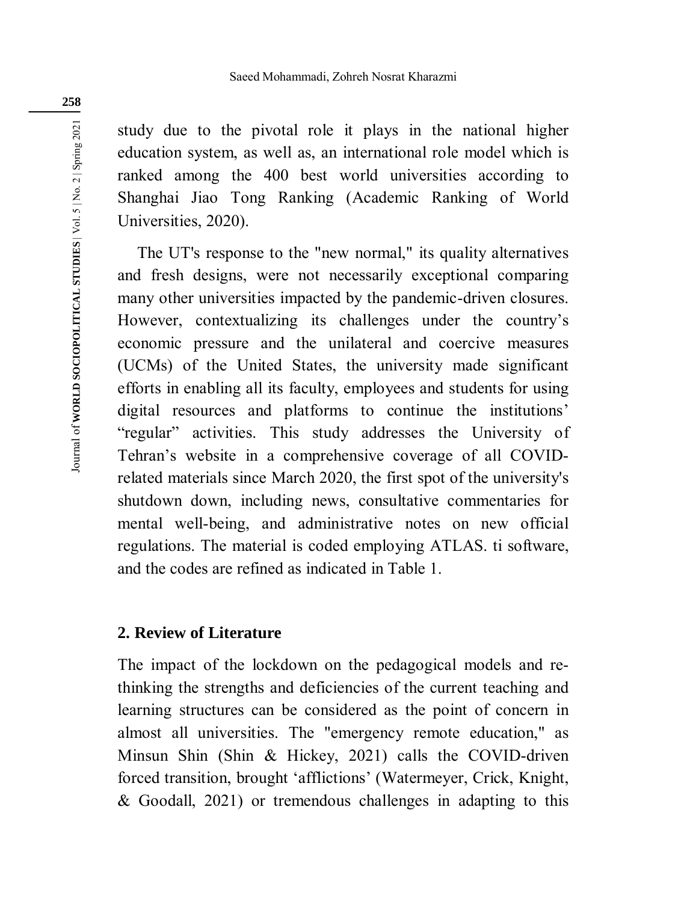study due to the pivotal role it plays in the national higher education system, as well as, an international role model which is ranked among the 400 best world universities according to Shanghai Jiao Tong Ranking (Academic Ranking of World Universities, 2020).

The UT's response to the "new normal," its quality alternatives and fresh designs, were not necessarily exceptional comparing many other universities impacted by the pandemic-driven closures. However, contextualizing its challenges under the country's economic pressure and the unilateral and coercive measures (UCMs) of the United States, the university made significant efforts in enabling all its faculty, employees and students for using digital resources and platforms to continue the institutions' "regular" activities. This study addresses the University of Tehran's website in a comprehensive coverage of all COVIDrelated materials since March 2020, the first spot of the university's shutdown down, including news, consultative commentaries for mental well-being, and administrative notes on new official regulations. The material is coded employing ATLAS. ti software, and the codes are refined as indicated in Table 1.

### **2. Review of Literature**

The impact of the lockdown on the pedagogical models and rethinking the strengths and deficiencies of the current teaching and learning structures can be considered as the point of concern in almost all universities. The "emergency remote education," as Minsun Shin (Shin & Hickey, 2021) calls the COVID-driven forced transition, brought 'afflictions' (Watermeyer, Crick, Knight, & Goodall, 2021) or tremendous challenges in adapting to this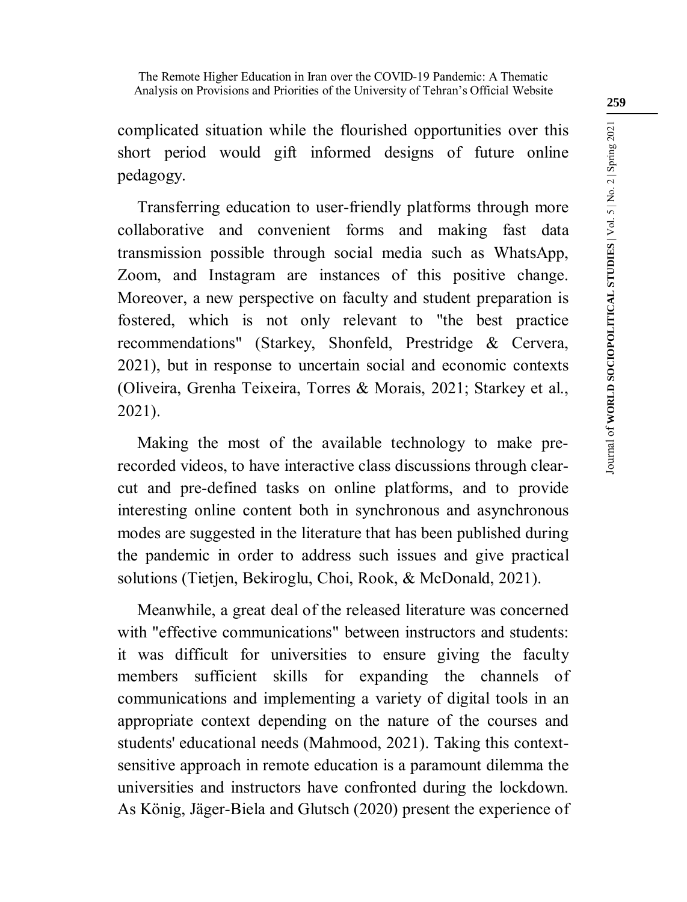complicated situation while the flourished opportunities over this short period would gift informed designs of future online pedagogy.

Transferring education to user-friendly platforms through more collaborative and convenient forms and making fast data transmission possible through social media such as WhatsApp, Zoom, and Instagram are instances of this positive change. Moreover, a new perspective on faculty and student preparation is fostered, which is not only relevant to "the best practice recommendations" (Starkey, Shonfeld, Prestridge & Cervera, 2021), but in response to uncertain social and economic contexts (Oliveira, Grenha Teixeira, Torres & Morais, 2021; Starkey et al., 2021).

Making the most of the available technology to make prerecorded videos, to have interactive class discussions through clearcut and pre-defined tasks on online platforms, and to provide interesting online content both in synchronous and asynchronous modes are suggested in the literature that has been published during the pandemic in order to address such issues and give practical solutions (Tietjen, Bekiroglu, Choi, Rook, & McDonald, 2021).

Meanwhile, a great deal of the released literature was concerned with "effective communications" between instructors and students: it was difficult for universities to ensure giving the faculty members sufficient skills for expanding the channels of communications and implementing a variety of digital tools in an appropriate context depending on the nature of the courses and students' educational needs (Mahmood, 2021). Taking this contextsensitive approach in remote education is a paramount dilemma the universities and instructors have confronted during the lockdown. As König, Jäger-Biela and Glutsch (2020) present the experience of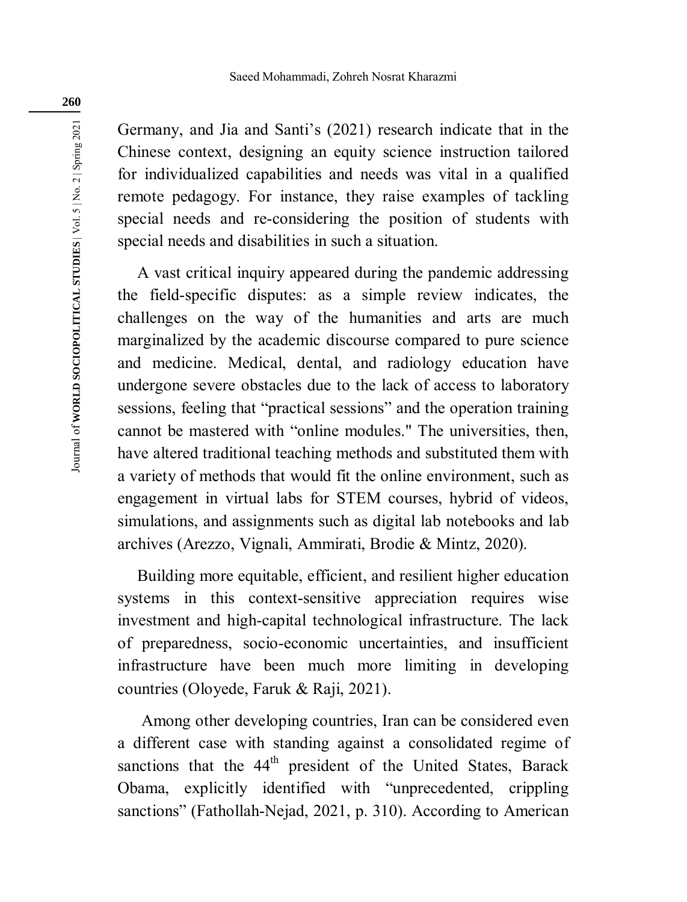Germany, and Jia and Santi's (2021) research indicate that in the Chinese context, designing an equity science instruction tailored for individualized capabilities and needs was vital in a qualified remote pedagogy. For instance, they raise examples of tackling special needs and re-considering the position of students with special needs and disabilities in such a situation.

A vast critical inquiry appeared during the pandemic addressing the field-specific disputes: as a simple review indicates, the challenges on the way of the humanities and arts are much marginalized by the academic discourse compared to pure science and medicine. Medical, dental, and radiology education have undergone severe obstacles due to the lack of access to laboratory sessions, feeling that "practical sessions" and the operation training cannot be mastered with "online modules." The universities, then, have altered traditional teaching methods and substituted them with a variety of methods that would fit the online environment, such as engagement in virtual labs for STEM courses, hybrid of videos, simulations, and assignments such as digital lab notebooks and lab archives (Arezzo, Vignali, Ammirati, Brodie & Mintz, 2020).

Building more equitable, efficient, and resilient higher education systems in this context-sensitive appreciation requires wise investment and high-capital technological infrastructure. The lack of preparedness, socio-economic uncertainties, and insufficient infrastructure have been much more limiting in developing countries (Oloyede, Faruk & Raji, 2021).

 Among other developing countries, Iran can be considered even a different case with standing against a consolidated regime of sanctions that the 44<sup>th</sup> president of the United States, Barack Obama, explicitly identified with "unprecedented, crippling sanctions" (Fathollah-Nejad, 2021, p. 310). According to American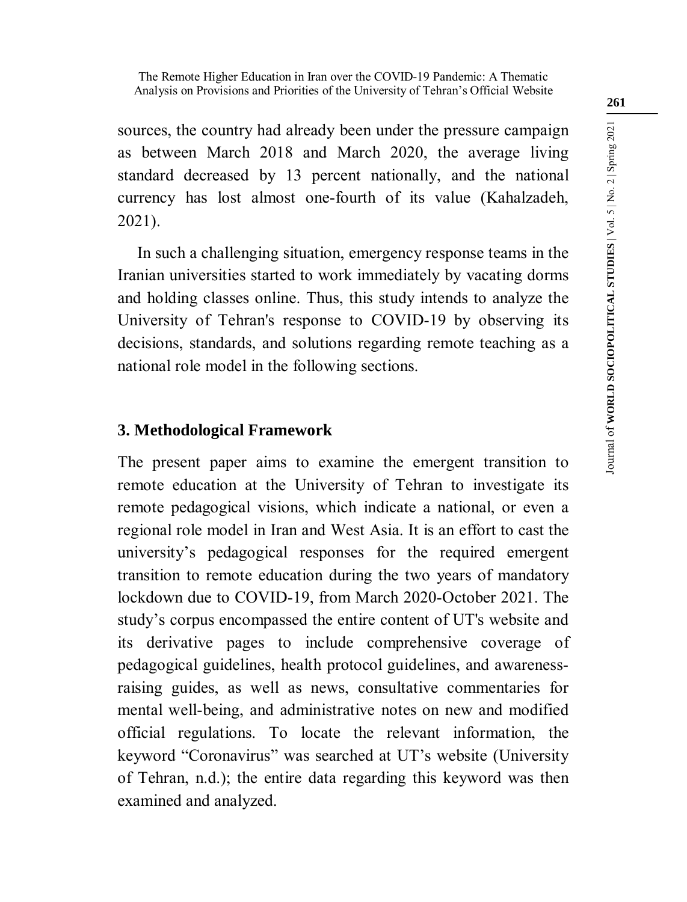sources, the country had already been under the pressure campaign as between March 2018 and March 2020, the average living standard decreased by 13 percent nationally, and the national currency has lost almost one-fourth of its value (Kahalzadeh, 2021).

In such a challenging situation, emergency response teams in the Iranian universities started to work immediately by vacating dorms and holding classes online. Thus, this study intends to analyze the University of Tehran's response to COVID-19 by observing its decisions, standards, and solutions regarding remote teaching as a national role model in the following sections.

### **3. Methodological Framework**

The present paper aims to examine the emergent transition to remote education at the University of Tehran to investigate its remote pedagogical visions, which indicate a national, or even a regional role model in Iran and West Asia. It is an effort to cast the university's pedagogical responses for the required emergent transition to remote education during the two years of mandatory lockdown due to COVID-19, from March 2020-October 2021. The study's corpus encompassed the entire content of UT's website and its derivative pages to include comprehensive coverage of pedagogical guidelines, health protocol guidelines, and awarenessraising guides, as well as news, consultative commentaries for mental well-being, and administrative notes on new and modified official regulations. To locate the relevant information, the keyword "Coronavirus" was searched at UT's website (University of Tehran, n.d.); the entire data regarding this keyword was then examined and analyzed.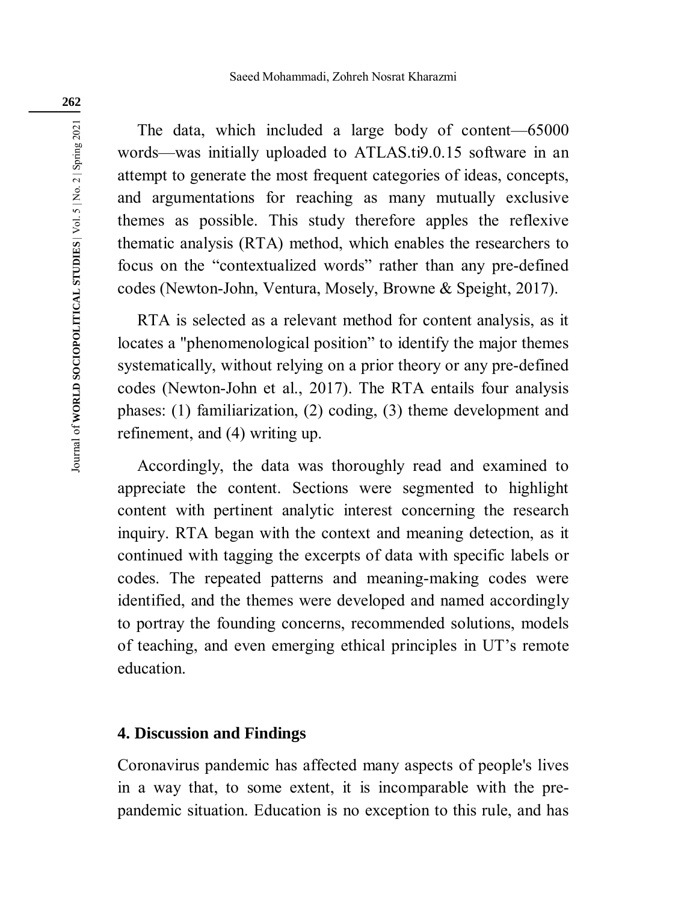The data, which included a large body of content—65000 words—was initially uploaded to ATLAS.ti9.0.15 software in an attempt to generate the most frequent categories of ideas, concepts, and argumentations for reaching as many mutually exclusive themes as possible. This study therefore apples the reflexive thematic analysis (RTA) method, which enables the researchers to focus on the "contextualized words" rather than any pre-defined codes (Newton-John, Ventura, Mosely, Browne & Speight, 2017).

RTA is selected as a relevant method for content analysis, as it locates a "phenomenological position" to identify the major themes systematically, without relying on a prior theory or any pre-defined codes (Newton-John et al., 2017). The RTA entails four analysis phases: (1) familiarization, (2) coding, (3) theme development and refinement, and (4) writing up.

Accordingly, the data was thoroughly read and examined to appreciate the content. Sections were segmented to highlight content with pertinent analytic interest concerning the research inquiry. RTA began with the context and meaning detection, as it continued with tagging the excerpts of data with specific labels or codes. The repeated patterns and meaning-making codes were identified, and the themes were developed and named accordingly to portray the founding concerns, recommended solutions, models of teaching, and even emerging ethical principles in UT's remote education.

### **4. Discussion and Findings**

Coronavirus pandemic has affected many aspects of people's lives in a way that, to some extent, it is incomparable with the prepandemic situation. Education is no exception to this rule, and has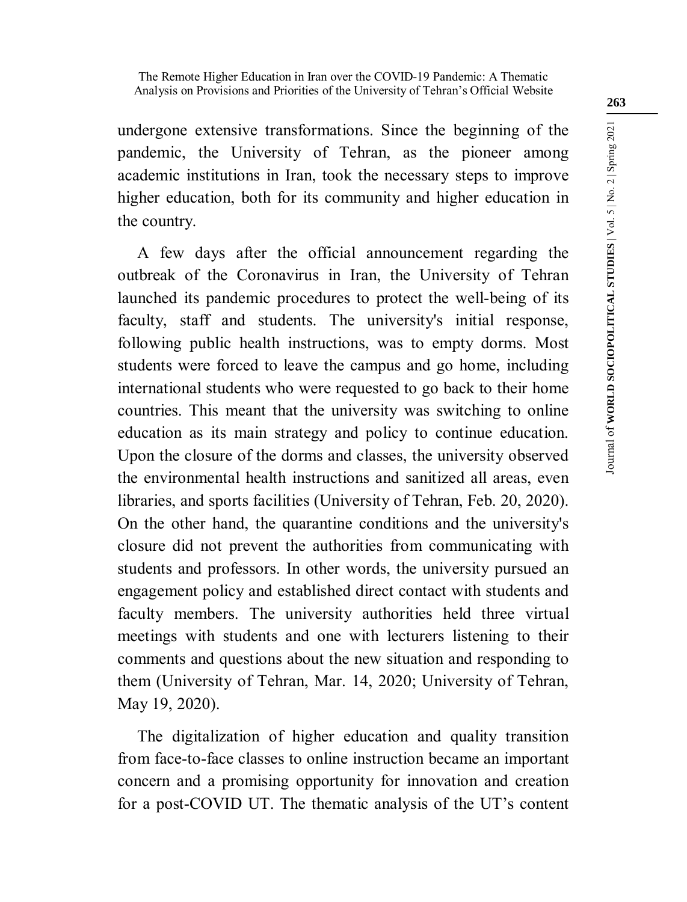undergone extensive transformations. Since the beginning of the pandemic, the University of Tehran, as the pioneer among academic institutions in Iran, took the necessary steps to improve higher education, both for its community and higher education in the country.

A few days after the official announcement regarding the outbreak of the Coronavirus in Iran, the University of Tehran launched its pandemic procedures to protect the well-being of its faculty, staff and students. The university's initial response, following public health instructions, was to empty dorms. Most students were forced to leave the campus and go home, including international students who were requested to go back to their home countries. This meant that the university was switching to online education as its main strategy and policy to continue education. Upon the closure of the dorms and classes, the university observed the environmental health instructions and sanitized all areas, even libraries, and sports facilities (University of Tehran, Feb. 20, 2020). On the other hand, the quarantine conditions and the university's closure did not prevent the authorities from communicating with students and professors. In other words, the university pursued an engagement policy and established direct contact with students and faculty members. The university authorities held three virtual meetings with students and one with lecturers listening to their comments and questions about the new situation and responding to them (University of Tehran, Mar. 14, 2020; University of Tehran, May 19, 2020).

The digitalization of higher education and quality transition from face-to-face classes to online instruction became an important concern and a promising opportunity for innovation and creation for a post-COVID UT. The thematic analysis of the UT's content

**263**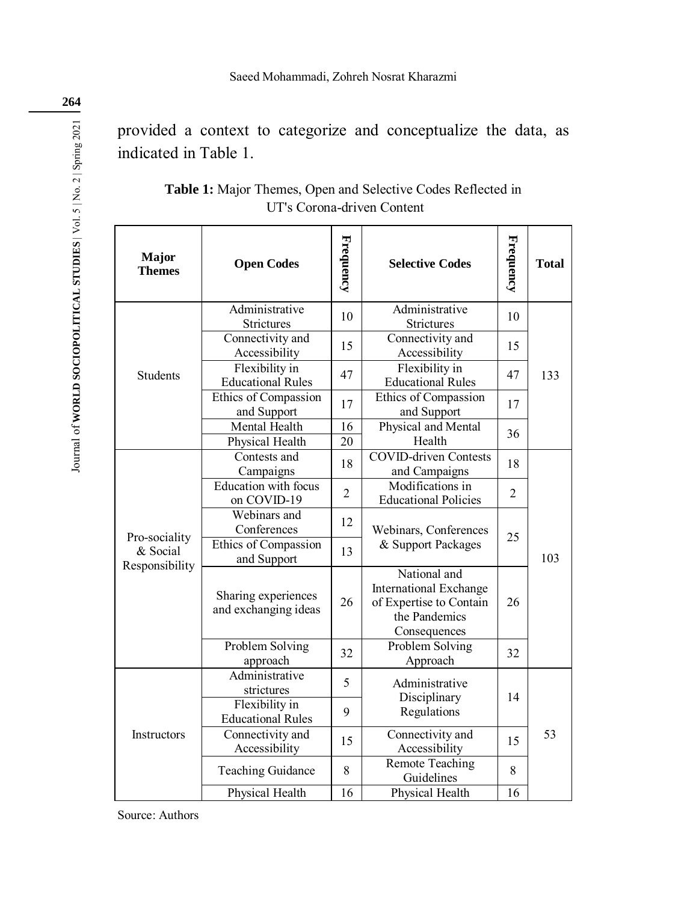provided a context to categorize and conceptualize the data, as indicated in Table 1.

| Major<br><b>Themes</b>                      | <b>Open Codes</b>                           | Frequency      | <b>Selective Codes</b>                                                                                    | Frequency      | <b>Total</b> |
|---------------------------------------------|---------------------------------------------|----------------|-----------------------------------------------------------------------------------------------------------|----------------|--------------|
| <b>Students</b>                             | Administrative<br>Strictures                | 10             | Administrative<br>Strictures                                                                              | 10             |              |
|                                             | Connectivity and<br>Accessibility           | 15             | Connectivity and<br>Accessibility                                                                         | 15             |              |
|                                             | Flexibility in<br><b>Educational Rules</b>  | 47             | Flexibility in<br><b>Educational Rules</b>                                                                | 47             | 133          |
|                                             | Ethics of Compassion<br>and Support         | 17             | Ethics of Compassion<br>and Support                                                                       | 17             |              |
|                                             | Mental Health<br>Physical Health            | 16<br>20       | Physical and Mental<br>Health                                                                             | 36             |              |
| Pro-sociality<br>& Social<br>Responsibility | Contests and<br>Campaigns                   | 18             | <b>COVID-driven Contests</b><br>and Campaigns                                                             | 18             |              |
|                                             | <b>Education</b> with focus<br>on COVID-19  | $\overline{2}$ | Modifications in<br><b>Educational Policies</b>                                                           | $\overline{2}$ |              |
|                                             | Webinars and<br>Conferences                 | 12             | Webinars, Conferences<br>25                                                                               |                | 103          |
|                                             | Ethics of Compassion<br>and Support         | 13             | & Support Packages                                                                                        |                |              |
|                                             | Sharing experiences<br>and exchanging ideas | 26             | National and<br><b>International Exchange</b><br>of Expertise to Contain<br>the Pandemics<br>Consequences | 26             |              |
|                                             | Problem Solving<br>approach                 | 32             | Problem Solving<br>Approach                                                                               | 32             |              |
| Instructors                                 | Administrative<br>strictures                | 5              | Administrative<br>Disciplinary<br>Regulations                                                             | 14             | 53           |
|                                             | Flexibility in<br><b>Educational Rules</b>  | 9              |                                                                                                           |                |              |
|                                             | Connectivity and<br>Accessibility           | 15             | Connectivity and<br>Accessibility                                                                         | 15             |              |
|                                             | <b>Teaching Guidance</b>                    | 8              | <b>Remote Teaching</b><br>Guidelines                                                                      | 8              |              |
|                                             | Physical Health                             | 16             | Physical Health                                                                                           | 16             |              |

**Table 1:** Major Themes, Open and Selective Codes Reflected in UT's Corona-driven Content

Source: Authors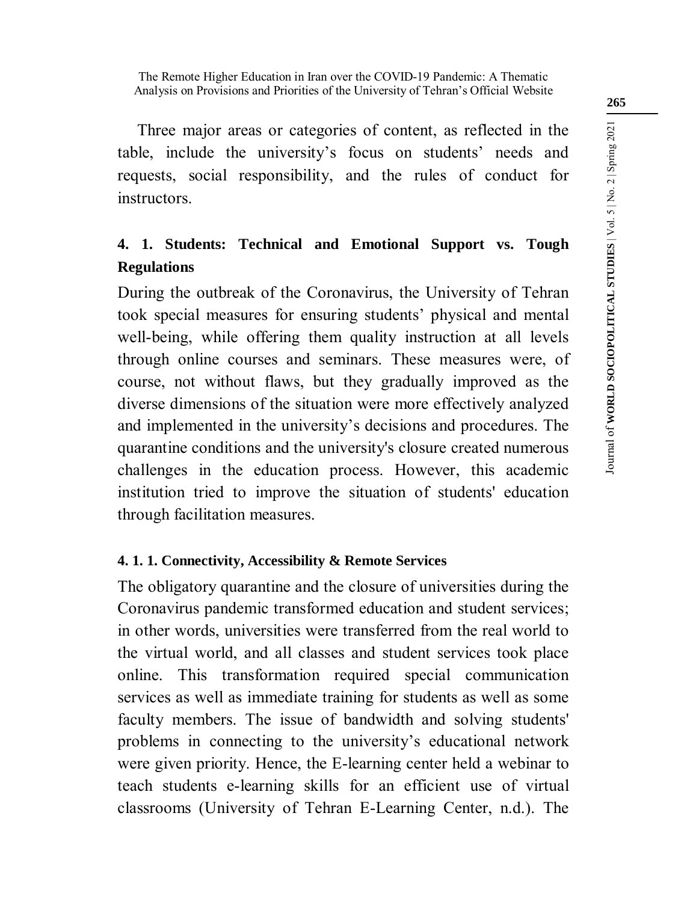Three major areas or categories of content, as reflected in the table, include the university's focus on students' needs and requests, social responsibility, and the rules of conduct for instructors.

## **4. 1. Students: Technical and Emotional Support vs. Tough Regulations**

During the outbreak of the Coronavirus, the University of Tehran took special measures for ensuring students' physical and mental well-being, while offering them quality instruction at all levels through online courses and seminars. These measures were, of course, not without flaws, but they gradually improved as the diverse dimensions of the situation were more effectively analyzed and implemented in the university's decisions and procedures. The quarantine conditions and the university's closure created numerous challenges in the education process. However, this academic institution tried to improve the situation of students' education through facilitation measures.

### **4. 1. 1. Connectivity, Accessibility & Remote Services**

The obligatory quarantine and the closure of universities during the Coronavirus pandemic transformed education and student services; in other words, universities were transferred from the real world to the virtual world, and all classes and student services took place online. This transformation required special communication services as well as immediate training for students as well as some faculty members. The issue of bandwidth and solving students' problems in connecting to the university's educational network were given priority. Hence, the E-learning center held a webinar to teach students e-learning skills for an efficient use of virtual classrooms (University of Tehran E-Learning Center, n.d.). The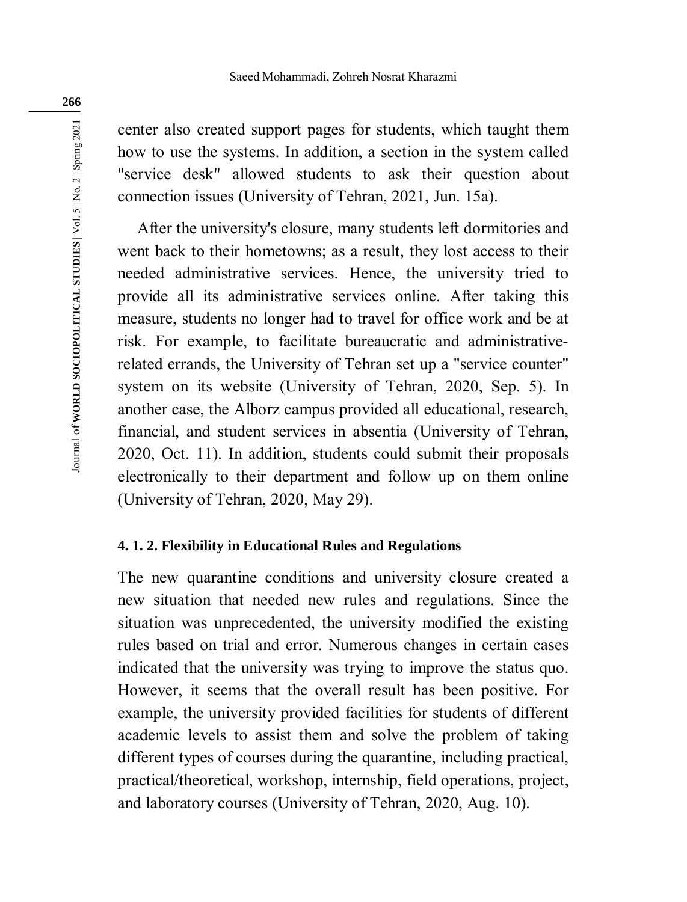center also created support pages for students, which taught them how to use the systems. In addition, a section in the system called "service desk" allowed students to ask their question about connection issues (University of Tehran, 2021, Jun. 15a).

After the university's closure, many students left dormitories and went back to their hometowns; as a result, they lost access to their needed administrative services. Hence, the university tried to provide all its administrative services online. After taking this measure, students no longer had to travel for office work and be at risk. For example, to facilitate bureaucratic and administrativerelated errands, the University of Tehran set up a "service counter" system on its website (University of Tehran, 2020, Sep. 5). In another case, the Alborz campus provided all educational, research, financial, and student services in absentia (University of Tehran, 2020, Oct. 11). In addition, students could submit their proposals electronically to their department and follow up on them online (University of Tehran, 2020, May 29).

### **4. 1. 2. Flexibility in Educational Rules and Regulations**

The new quarantine conditions and university closure created a new situation that needed new rules and regulations. Since the situation was unprecedented, the university modified the existing rules based on trial and error. Numerous changes in certain cases indicated that the university was trying to improve the status quo. However, it seems that the overall result has been positive. For example, the university provided facilities for students of different academic levels to assist them and solve the problem of taking different types of courses during the quarantine, including practical, practical/theoretical, workshop, internship, field operations, project, and laboratory courses (University of Tehran, 2020, Aug. 10).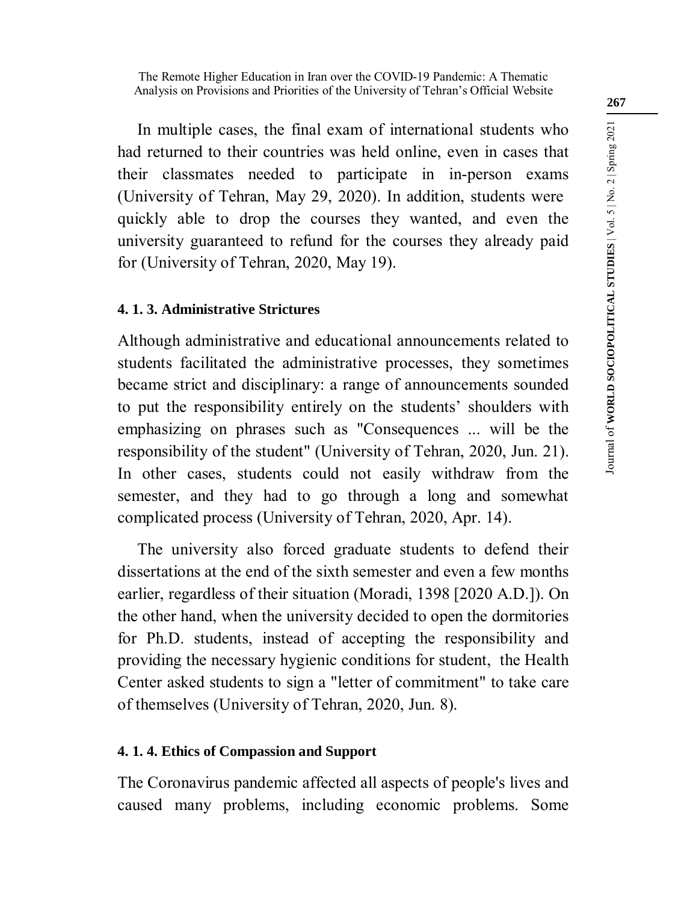In multiple cases, the final exam of international students who had returned to their countries was held online, even in cases that their classmates needed to participate in in-person exams (University of Tehran, May 29, 2020). In addition, students were quickly able to drop the courses they wanted, and even the university guaranteed to refund for the courses they already paid for (University of Tehran, 2020, May 19).

### **4. 1. 3. Administrative Strictures**

Although administrative and educational announcements related to students facilitated the administrative processes, they sometimes became strict and disciplinary: a range of announcements sounded to put the responsibility entirely on the students' shoulders with emphasizing on phrases such as "Consequences ... will be the responsibility of the student" (University of Tehran, 2020, Jun. 21). In other cases, students could not easily withdraw from the semester, and they had to go through a long and somewhat complicated process (University of Tehran, 2020, Apr. 14).

The university also forced graduate students to defend their dissertations at the end of the sixth semester and even a few months earlier, regardless of their situation (Moradi, 1398 [2020 A.D.]). On the other hand, when the university decided to open the dormitories for Ph.D. students, instead of accepting the responsibility and providing the necessary hygienic conditions for student, the Health Center asked students to sign a "letter of commitment" to take care of themselves (University of Tehran, 2020, Jun. 8).

### **4. 1. 4. Ethics of Compassion and Support**

The Coronavirus pandemic affected all aspects of people's lives and caused many problems, including economic problems. Some **267**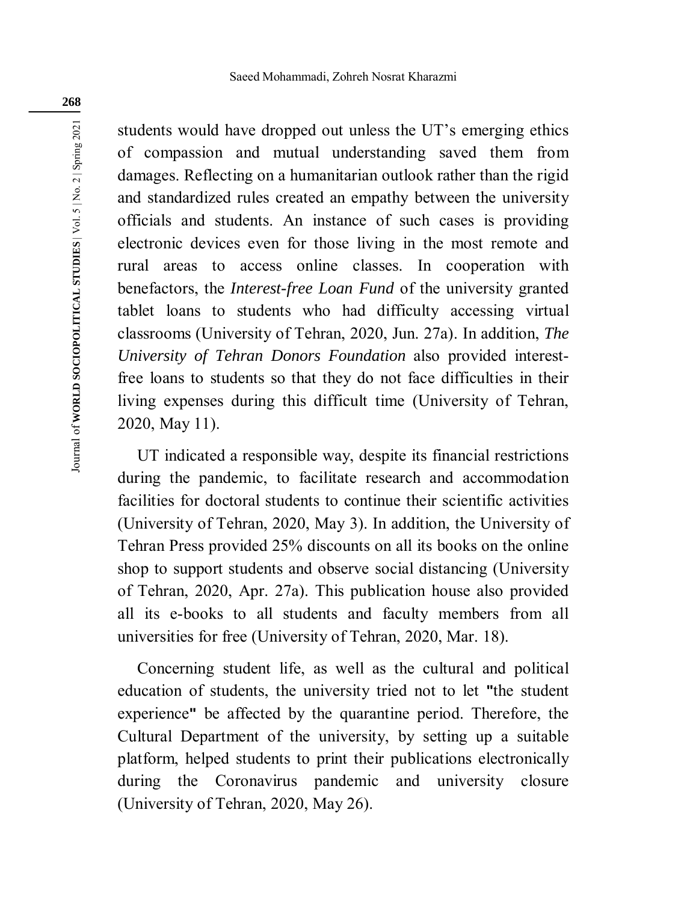students would have dropped out unless the UT's emerging ethics of compassion and mutual understanding saved them from damages. Reflecting on a humanitarian outlook rather than the rigid and standardized rules created an empathy between the university officials and students. An instance of such cases is providing electronic devices even for those living in the most remote and rural areas to access online classes. In cooperation with benefactors, the *Interest-free Loan Fund* of the university granted tablet loans to students who had difficulty accessing virtual classrooms (University of Tehran, 2020, Jun. 27a). In addition, *The University of Tehran Donors Foundation* also provided interestfree loans to students so that they do not face difficulties in their living expenses during this difficult time (University of Tehran, 2020, May 11).

UT indicated a responsible way, despite its financial restrictions during the pandemic, to facilitate research and accommodation facilities for doctoral students to continue their scientific activities (University of Tehran, 2020, May 3). In addition, the University of Tehran Press provided 25% discounts on all its books on the online shop to support students and observe social distancing (University of Tehran, 2020, Apr. 27a). This publication house also provided all its e-books to all students and faculty members from all universities for free (University of Tehran, 2020, Mar. 18).

Concerning student life, as well as the cultural and political education of students, the university tried not to let **"**the student experience**"** be affected by the quarantine period. Therefore, the Cultural Department of the university, by setting up a suitable platform, helped students to print their publications electronically during the Coronavirus pandemic and university closure (University of Tehran, 2020, May 26).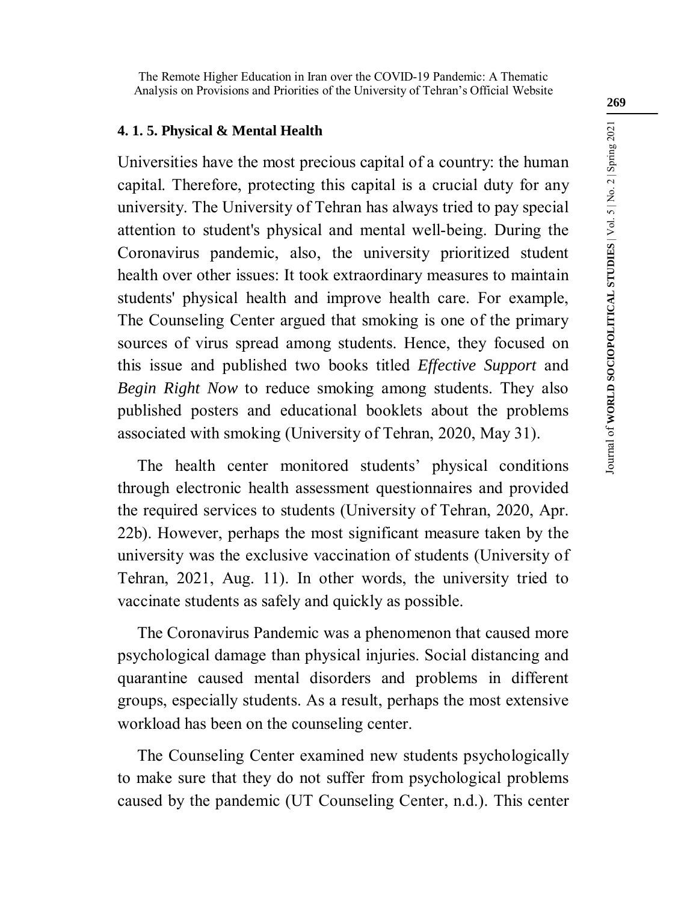The Remote Higher Education in Iran over the COVID-19 Pandemic: A Thematic Analysis on Provisions and Priorities of the University of Tehran's Official Website

### **4. 1. 5. Physical & Mental Health**

Universities have the most precious capital of a country: the human capital. Therefore, protecting this capital is a crucial duty for any university. The University of Tehran has always tried to pay special attention to student's physical and mental well-being. During the Coronavirus pandemic, also, the university prioritized student health over other issues: It took extraordinary measures to maintain students' physical health and improve health care. For example, The Counseling Center argued that smoking is one of the primary sources of virus spread among students. Hence, they focused on this issue and published two books titled *Effective Support* and *Begin Right Now* to reduce smoking among students. They also published posters and educational booklets about the problems associated with smoking (University of Tehran, 2020, May 31).

The health center monitored students' physical conditions through electronic health assessment questionnaires and provided the required services to students (University of Tehran, 2020, Apr. 22b). However, perhaps the most significant measure taken by the university was the exclusive vaccination of students (University of Tehran, 2021, Aug. 11). In other words, the university tried to vaccinate students as safely and quickly as possible.

The Coronavirus Pandemic was a phenomenon that caused more psychological damage than physical injuries. Social distancing and quarantine caused mental disorders and problems in different groups, especially students. As a result, perhaps the most extensive workload has been on the counseling center.

The Counseling Center examined new students psychologically to make sure that they do not suffer from psychological problems caused by the pandemic (UT Counseling Center, n.d.). This center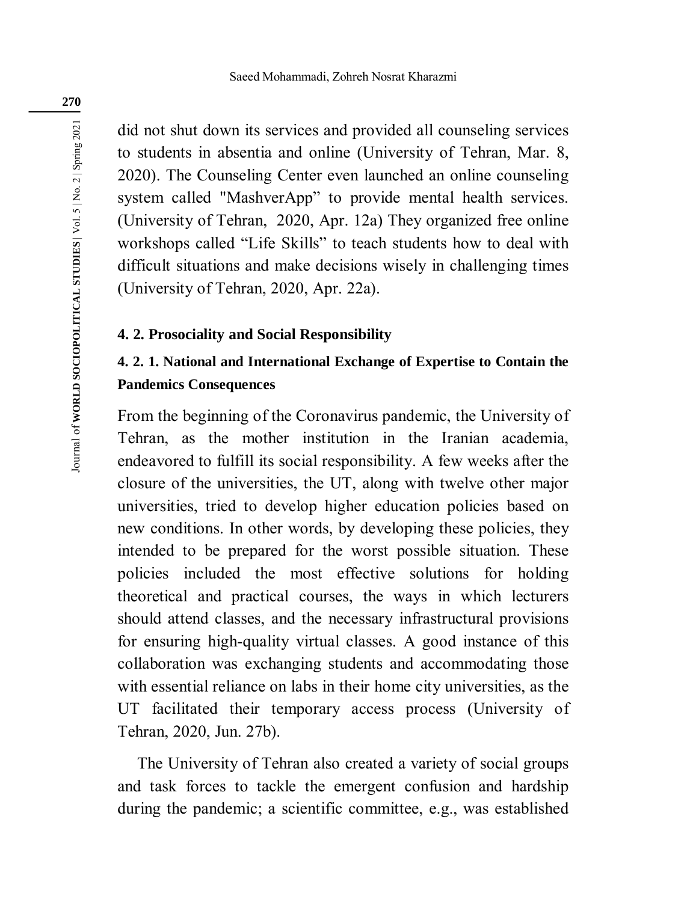did not shut down its services and provided all counseling services to students in absentia and online (University of Tehran, Mar. 8, 2020). The Counseling Center even launched an online counseling system called "MashverApp" to provide mental health services. (University of Tehran, 2020, Apr. 12a) They organized free online workshops called "Life Skills" to teach students how to deal with difficult situations and make decisions wisely in challenging times (University of Tehran, 2020, Apr. 22a).

#### **4. 2. Prosociality and Social Responsibility**

## **4. 2. 1. National and International Exchange of Expertise to Contain the Pandemics Consequences**

From the beginning of the Coronavirus pandemic, the University of Tehran, as the mother institution in the Iranian academia, endeavored to fulfill its social responsibility. A few weeks after the closure of the universities, the UT, along with twelve other major universities, tried to develop higher education policies based on new conditions. In other words, by developing these policies, they intended to be prepared for the worst possible situation. These policies included the most effective solutions for holding theoretical and practical courses, the ways in which lecturers should attend classes, and the necessary infrastructural provisions for ensuring high-quality virtual classes. A good instance of this collaboration was exchanging students and accommodating those with essential reliance on labs in their home city universities, as the UT facilitated their temporary access process (University of Tehran, 2020, Jun. 27b).

The University of Tehran also created a variety of social groups and task forces to tackle the emergent confusion and hardship during the pandemic; a scientific committee, e.g., was established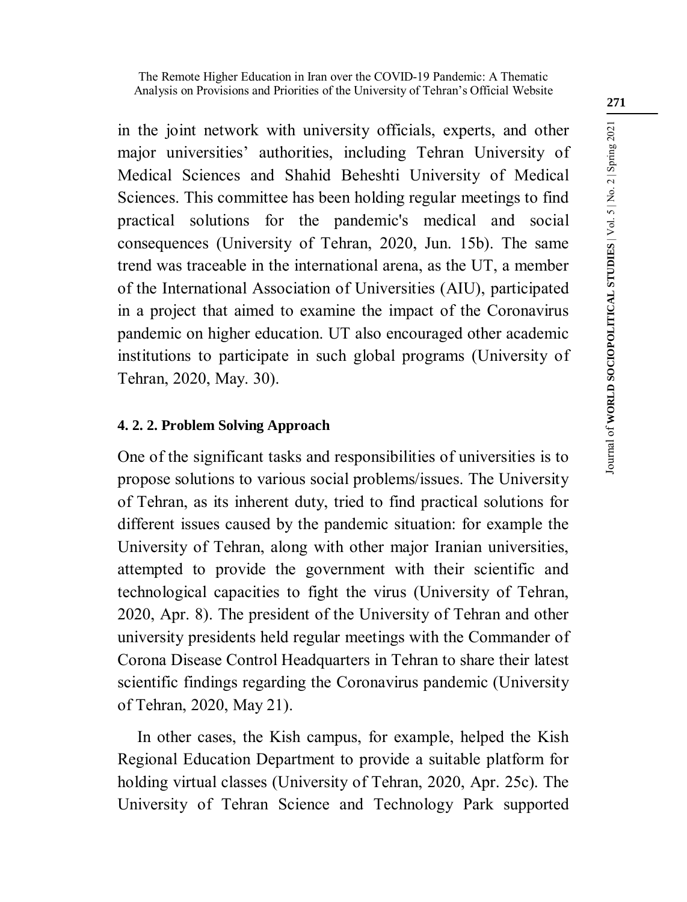in the joint network with university officials, experts, and other major universities' authorities, including Tehran University of Medical Sciences and Shahid Beheshti University of Medical Sciences. This committee has been holding regular meetings to find practical solutions for the pandemic's medical and social consequences (University of Tehran, 2020, Jun. 15b). The same trend was traceable in the international arena, as the UT, a member of the International Association of Universities (AIU), participated in a project that aimed to examine the impact of the Coronavirus pandemic on higher education. UT also encouraged other academic institutions to participate in such global programs (University of Tehran, 2020, May. 30).

### **4. 2. 2. Problem Solving Approach**

One of the significant tasks and responsibilities of universities is to propose solutions to various social problems/issues. The University of Tehran, as its inherent duty, tried to find practical solutions for different issues caused by the pandemic situation: for example the University of Tehran, along with other major Iranian universities, attempted to provide the government with their scientific and technological capacities to fight the virus (University of Tehran, 2020, Apr. 8). The president of the University of Tehran and other university presidents held regular meetings with the Commander of Corona Disease Control Headquarters in Tehran to share their latest scientific findings regarding the Coronavirus pandemic (University of Tehran, 2020, May 21).

In other cases, the Kish campus, for example, helped the Kish Regional Education Department to provide a suitable platform for holding virtual classes (University of Tehran, 2020, Apr. 25c). The University of Tehran Science and Technology Park supported **271**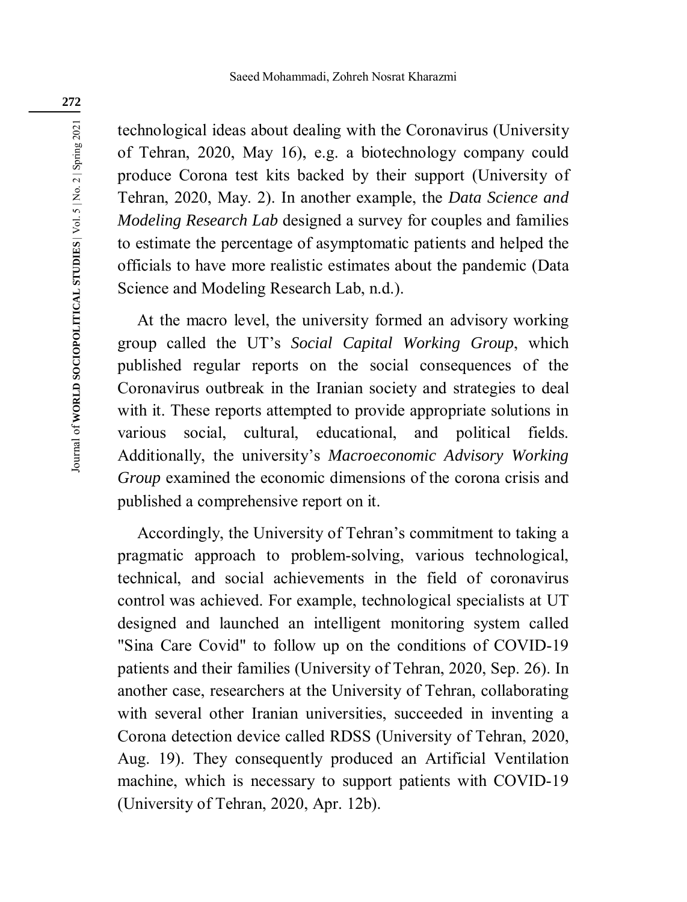technological ideas about dealing with the Coronavirus (University of Tehran, 2020, May 16), e.g. a biotechnology company could produce Corona test kits backed by their support (University of Tehran, 2020, May. 2). In another example, the *Data Science and Modeling Research Lab* designed a survey for couples and families to estimate the percentage of asymptomatic patients and helped the officials to have more realistic estimates about the pandemic (Data Science and Modeling Research Lab, n.d.).

At the macro level, the university formed an advisory working group called the UT's *Social Capital Working Group*, which published regular reports on the social consequences of the Coronavirus outbreak in the Iranian society and strategies to deal with it. These reports attempted to provide appropriate solutions in various social, cultural, educational, and political fields. Additionally, the university's *Macroeconomic Advisory Working Group* examined the economic dimensions of the corona crisis and published a comprehensive report on it.

Accordingly, the University of Tehran's commitment to taking a pragmatic approach to problem-solving, various technological, technical, and social achievements in the field of coronavirus control was achieved. For example, technological specialists at UT designed and launched an intelligent monitoring system called "Sina Care Covid" to follow up on the conditions of COVID-19 patients and their families (University of Tehran, 2020, Sep. 26). In another case, researchers at the University of Tehran, collaborating with several other Iranian universities, succeeded in inventing a Corona detection device called RDSS (University of Tehran, 2020, Aug. 19). They consequently produced an Artificial Ventilation machine, which is necessary to support patients with COVID-19 (University of Tehran, 2020, Apr. 12b).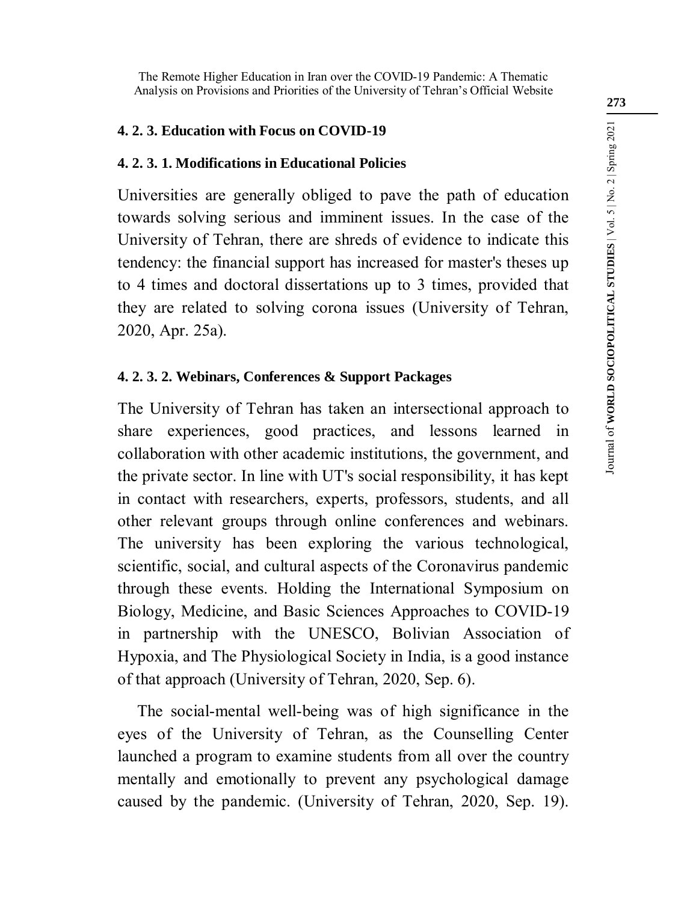The Remote Higher Education in Iran over the COVID-19 Pandemic: A Thematic Analysis on Provisions and Priorities of the University of Tehran's Official Website

#### **4. 2. 3. Education with Focus on COVID-19**

### **4. 2. 3. 1. Modifications in Educational Policies**

Universities are generally obliged to pave the path of education towards solving serious and imminent issues. In the case of the University of Tehran, there are shreds of evidence to indicate this tendency: the financial support has increased for master's theses up to 4 times and doctoral dissertations up to 3 times, provided that they are related to solving corona issues (University of Tehran, 2020, Apr. 25a).

### **4. 2. 3. 2. Webinars, Conferences & Support Packages**

The University of Tehran has taken an intersectional approach to share experiences, good practices, and lessons learned in collaboration with other academic institutions, the government, and the private sector. In line with UT's social responsibility, it has kept in contact with researchers, experts, professors, students, and all other relevant groups through online conferences and webinars. The university has been exploring the various technological, scientific, social, and cultural aspects of the Coronavirus pandemic through these events. Holding the International Symposium on Biology, Medicine, and Basic Sciences Approaches to COVID-19 in partnership with the UNESCO, Bolivian Association of Hypoxia, and The Physiological Society in India, is a good instance of that approach (University of Tehran, 2020, Sep. 6).

The social-mental well-being was of high significance in the eyes of the University of Tehran, as the Counselling Center launched a program to examine students from all over the country mentally and emotionally to prevent any psychological damage caused by the pandemic. (University of Tehran, 2020, Sep. 19).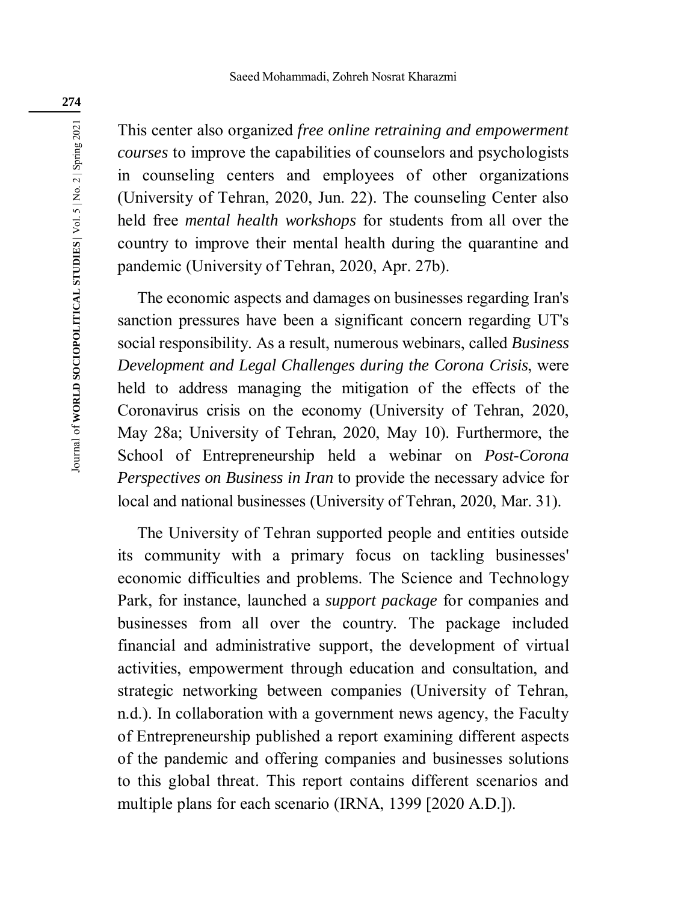This center also organized *free online retraining and empowerment courses* to improve the capabilities of counselors and psychologists in counseling centers and employees of other organizations (University of Tehran, 2020, Jun. 22). The counseling Center also held free *mental health workshops* for students from all over the country to improve their mental health during the quarantine and pandemic (University of Tehran, 2020, Apr. 27b).

The economic aspects and damages on businesses regarding Iran's sanction pressures have been a significant concern regarding UT's social responsibility. As a result, numerous webinars, called *Business Development and Legal Challenges during the Corona Crisis*, were held to address managing the mitigation of the effects of the Coronavirus crisis on the economy (University of Tehran, 2020, May 28a; University of Tehran, 2020, May 10). Furthermore, the School of Entrepreneurship held a webinar on *Post-Corona Perspectives on Business in Iran* to provide the necessary advice for local and national businesses (University of Tehran, 2020, Mar. 31).

The University of Tehran supported people and entities outside its community with a primary focus on tackling businesses' economic difficulties and problems. The Science and Technology Park, for instance, launched a *support package* for companies and businesses from all over the country. The package included financial and administrative support, the development of virtual activities, empowerment through education and consultation, and strategic networking between companies (University of Tehran, n.d.). In collaboration with a government news agency, the Faculty of Entrepreneurship published a report examining different aspects of the pandemic and offering companies and businesses solutions to this global threat. This report contains different scenarios and multiple plans for each scenario (IRNA, 1399 [2020 A.D.]).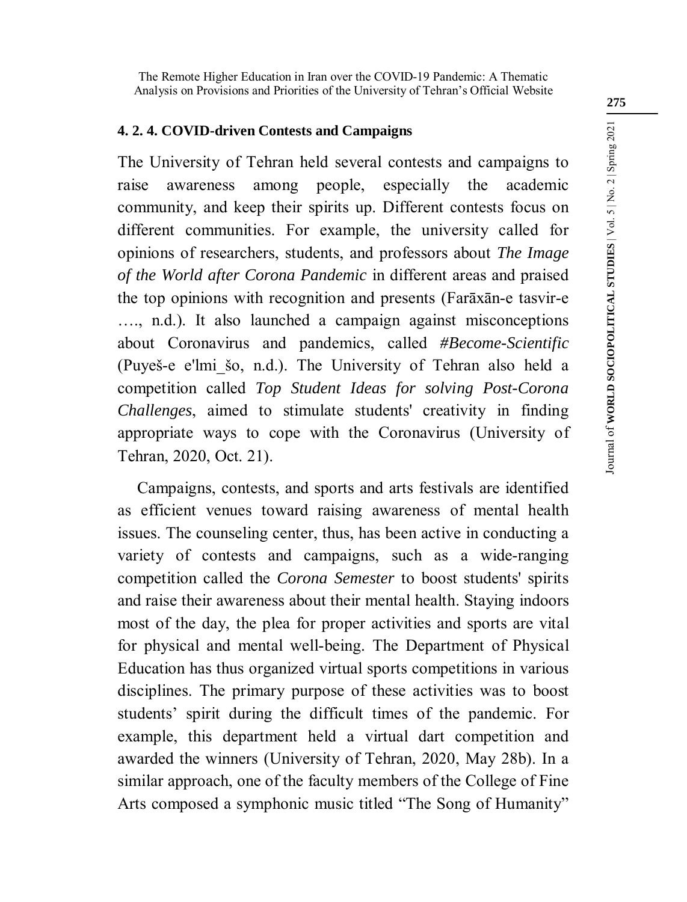The Remote Higher Education in Iran over the COVID-19 Pandemic: A Thematic Analysis on Provisions and Priorities of the University of Tehran's Official Website

### **4. 2. 4. COVID-driven Contests and Campaigns**

The University of Tehran held several contests and campaigns to raise awareness among people, especially the academic community, and keep their spirits up. Different contests focus on different communities. For example, the university called for opinions of researchers, students, and professors about *The Image of the World after Corona Pandemic* in different areas and praised the top opinions with recognition and presents (Farāxān-e tasvir-e …., n.d.). It also launched a campaign against misconceptions about Coronavirus and pandemics, called *#Become-Scientific* (Puyeš-e e'lmi\_šo, n.d.). The University of Tehran also held a competition called *Top Student Ideas for solving Post-Corona Challenges*, aimed to stimulate students' creativity in finding appropriate ways to cope with the Coronavirus (University of Tehran, 2020, Oct. 21).

Campaigns, contests, and sports and arts festivals are identified as efficient venues toward raising awareness of mental health issues. The counseling center, thus, has been active in conducting a variety of contests and campaigns, such as a wide-ranging competition called the *Corona Semester* to boost students' spirits and raise their awareness about their mental health. Staying indoors most of the day, the plea for proper activities and sports are vital for physical and mental well-being. The Department of Physical Education has thus organized virtual sports competitions in various disciplines. The primary purpose of these activities was to boost students' spirit during the difficult times of the pandemic. For example, this department held a virtual dart competition and awarded the winners (University of Tehran, 2020, May 28b). In a similar approach, one of the faculty members of the College of Fine Arts composed a symphonic music titled "The Song of Humanity"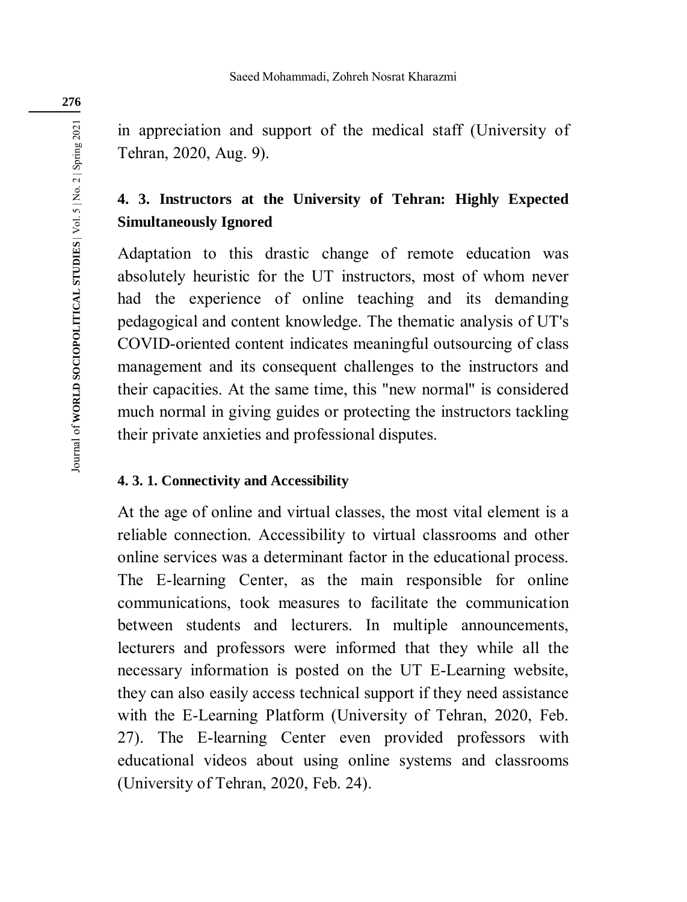in appreciation and support of the medical staff (University of Tehran, 2020, Aug. 9).

## **4. 3. Instructors at the University of Tehran: Highly Expected Simultaneously Ignored**

Adaptation to this drastic change of remote education was absolutely heuristic for the UT instructors, most of whom never had the experience of online teaching and its demanding pedagogical and content knowledge. The thematic analysis of UT's COVID-oriented content indicates meaningful outsourcing of class management and its consequent challenges to the instructors and their capacities. At the same time, this "new normal" is considered much normal in giving guides or protecting the instructors tackling their private anxieties and professional disputes.

### **4. 3. 1. Connectivity and Accessibility**

At the age of online and virtual classes, the most vital element is a reliable connection. Accessibility to virtual classrooms and other online services was a determinant factor in the educational process. The E-learning Center, as the main responsible for online communications, took measures to facilitate the communication between students and lecturers. In multiple announcements, lecturers and professors were informed that they while all the necessary information is posted on the UT E-Learning website, they can also easily access technical support if they need assistance with the E-Learning Platform (University of Tehran, 2020, Feb. 27). The E-learning Center even provided professors with educational videos about using online systems and classrooms (University of Tehran, 2020, Feb. 24).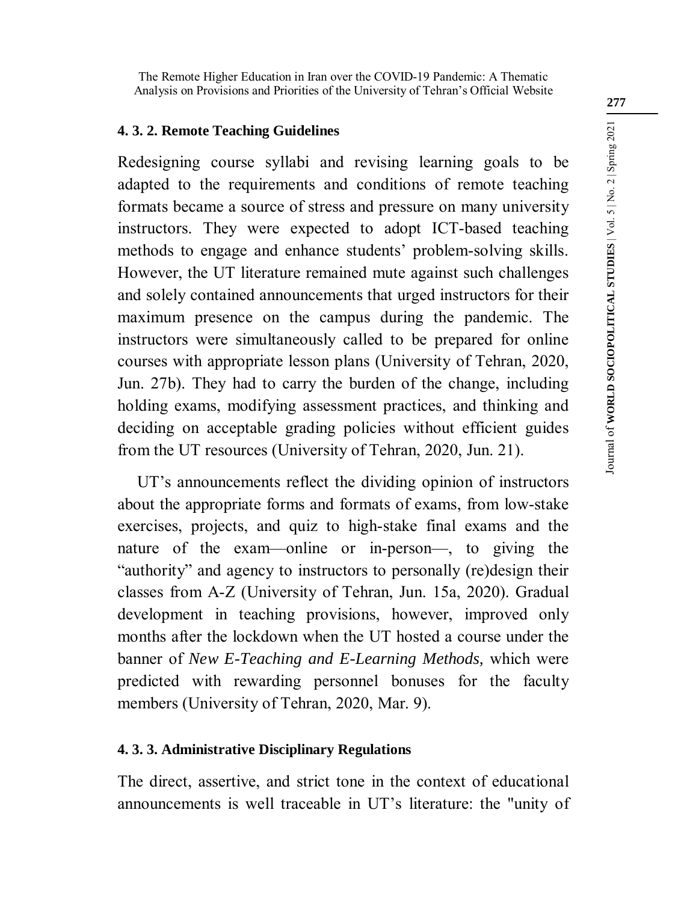The Remote Higher Education in Iran over the COVID-19 Pandemic: A Thematic Analysis on Provisions and Priorities of the University of Tehran's Official Website

### **4. 3. 2. Remote Teaching Guidelines**

Redesigning course syllabi and revising learning goals to be adapted to the requirements and conditions of remote teaching formats became a source of stress and pressure on many university instructors. They were expected to adopt ICT-based teaching methods to engage and enhance students' problem-solving skills. However, the UT literature remained mute against such challenges and solely contained announcements that urged instructors for their maximum presence on the campus during the pandemic. The instructors were simultaneously called to be prepared for online courses with appropriate lesson plans (University of Tehran, 2020, Jun. 27b). They had to carry the burden of the change, including holding exams, modifying assessment practices, and thinking and deciding on acceptable grading policies without efficient guides from the UT resources (University of Tehran, 2020, Jun. 21).

UT's announcements reflect the dividing opinion of instructors about the appropriate forms and formats of exams, from low-stake exercises, projects, and quiz to high-stake final exams and the nature of the exam—online or in-person—, to giving the "authority" and agency to instructors to personally (re)design their classes from A-Z (University of Tehran, Jun. 15a, 2020). Gradual development in teaching provisions, however, improved only months after the lockdown when the UT hosted a course under the banner of *New E-Teaching and E-Learning Methods,* which were predicted with rewarding personnel bonuses for the faculty members (University of Tehran, 2020, Mar. 9).

### **4. 3. 3. Administrative Disciplinary Regulations**

The direct, assertive, and strict tone in the context of educational announcements is well traceable in UT's literature: the "unity of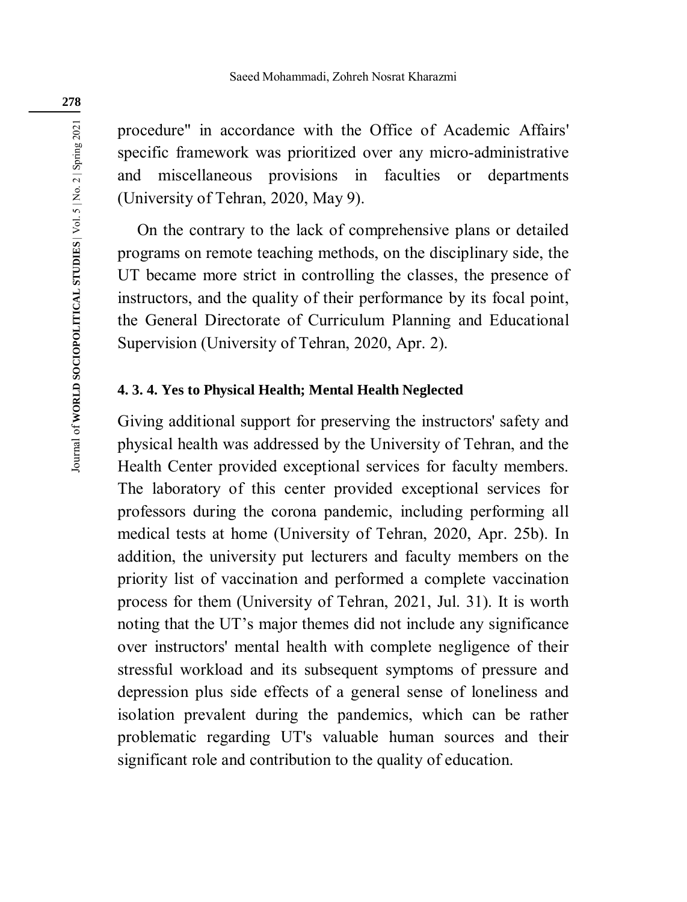procedure" in accordance with the Office of Academic Affairs' specific framework was prioritized over any micro-administrative and miscellaneous provisions in faculties or departments (University of Tehran, 2020, May 9).

On the contrary to the lack of comprehensive plans or detailed programs on remote teaching methods, on the disciplinary side, the UT became more strict in controlling the classes, the presence of instructors, and the quality of their performance by its focal point, the General Directorate of Curriculum Planning and Educational Supervision (University of Tehran, 2020, Apr. 2).

#### **4. 3. 4. Yes to Physical Health; Mental Health Neglected**

Giving additional support for preserving the instructors' safety and physical health was addressed by the University of Tehran, and the Health Center provided exceptional services for faculty members. The laboratory of this center provided exceptional services for professors during the corona pandemic, including performing all medical tests at home (University of Tehran, 2020, Apr. 25b). In addition, the university put lecturers and faculty members on the priority list of vaccination and performed a complete vaccination process for them (University of Tehran, 2021, Jul. 31). It is worth noting that the UT's major themes did not include any significance over instructors' mental health with complete negligence of their stressful workload and its subsequent symptoms of pressure and depression plus side effects of a general sense of loneliness and isolation prevalent during the pandemics, which can be rather problematic regarding UT's valuable human sources and their significant role and contribution to the quality of education.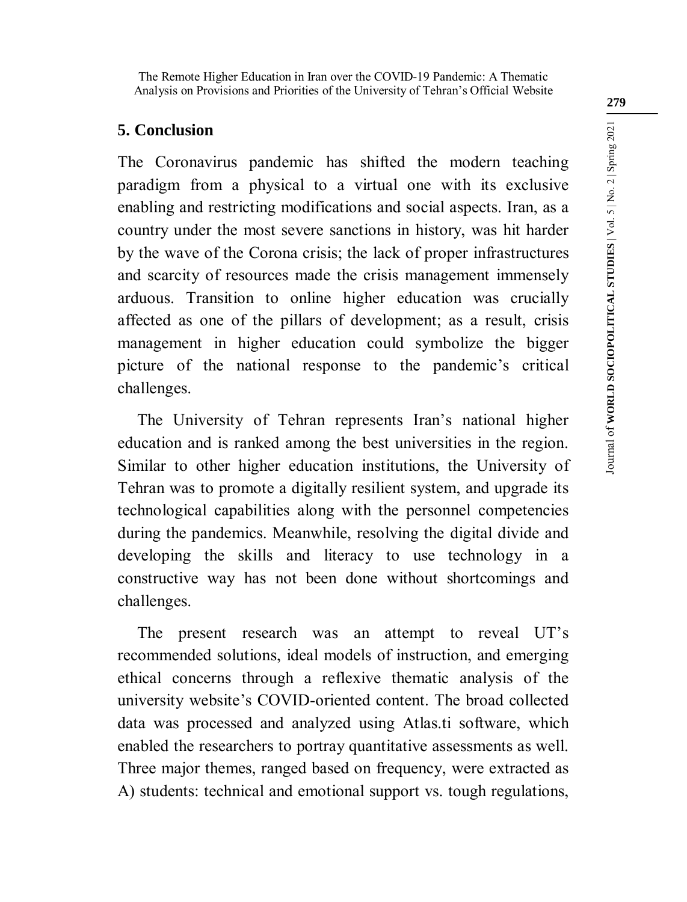## **5. Conclusion**

The Coronavirus pandemic has shifted the modern teaching paradigm from a physical to a virtual one with its exclusive enabling and restricting modifications and social aspects. Iran, as a country under the most severe sanctions in history, was hit harder by the wave of the Corona crisis; the lack of proper infrastructures and scarcity of resources made the crisis management immensely arduous. Transition to online higher education was crucially affected as one of the pillars of development; as a result, crisis management in higher education could symbolize the bigger picture of the national response to the pandemic's critical challenges.

The University of Tehran represents Iran's national higher education and is ranked among the best universities in the region. Similar to other higher education institutions, the University of Tehran was to promote a digitally resilient system, and upgrade its technological capabilities along with the personnel competencies during the pandemics. Meanwhile, resolving the digital divide and developing the skills and literacy to use technology in a constructive way has not been done without shortcomings and challenges.

The present research was an attempt to reveal UT's recommended solutions, ideal models of instruction, and emerging ethical concerns through a reflexive thematic analysis of the university website's COVID-oriented content. The broad collected data was processed and analyzed using Atlas.ti software, which enabled the researchers to portray quantitative assessments as well. Three major themes, ranged based on frequency, were extracted as A) students: technical and emotional support vs. tough regulations,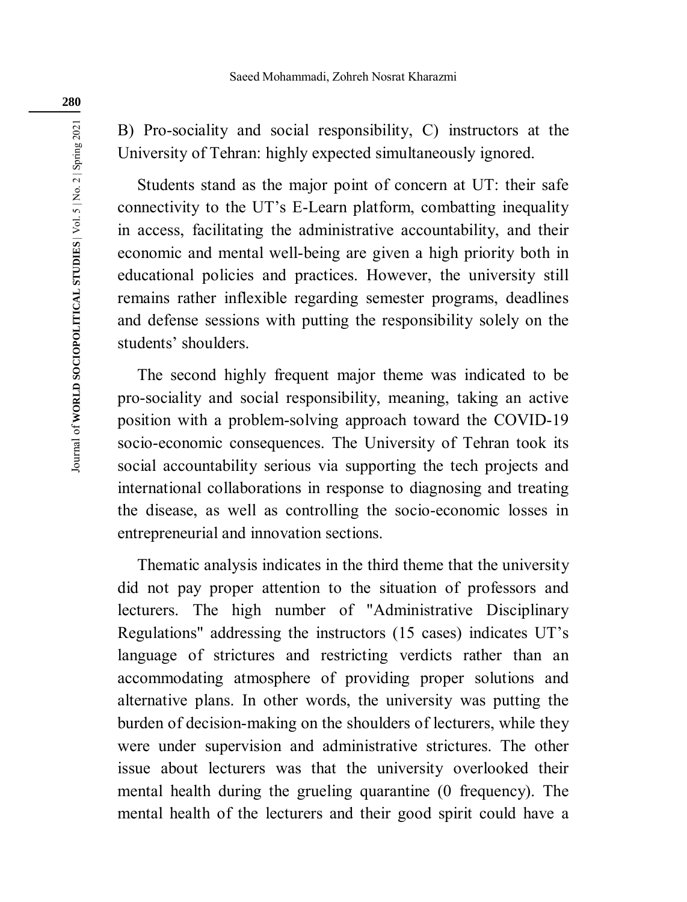B) Pro-sociality and social responsibility, C) instructors at the University of Tehran: highly expected simultaneously ignored.

Students stand as the major point of concern at UT: their safe connectivity to the UT's E-Learn platform, combatting inequality in access, facilitating the administrative accountability, and their economic and mental well-being are given a high priority both in educational policies and practices. However, the university still remains rather inflexible regarding semester programs, deadlines and defense sessions with putting the responsibility solely on the students' shoulders.

The second highly frequent major theme was indicated to be pro-sociality and social responsibility, meaning, taking an active position with a problem-solving approach toward the COVID-19 socio-economic consequences. The University of Tehran took its social accountability serious via supporting the tech projects and international collaborations in response to diagnosing and treating the disease, as well as controlling the socio-economic losses in entrepreneurial and innovation sections.

Thematic analysis indicates in the third theme that the university did not pay proper attention to the situation of professors and lecturers. The high number of "Administrative Disciplinary Regulations" addressing the instructors (15 cases) indicates UT's language of strictures and restricting verdicts rather than an accommodating atmosphere of providing proper solutions and alternative plans. In other words, the university was putting the burden of decision-making on the shoulders of lecturers, while they were under supervision and administrative strictures. The other issue about lecturers was that the university overlooked their mental health during the grueling quarantine (0 frequency). The mental health of the lecturers and their good spirit could have a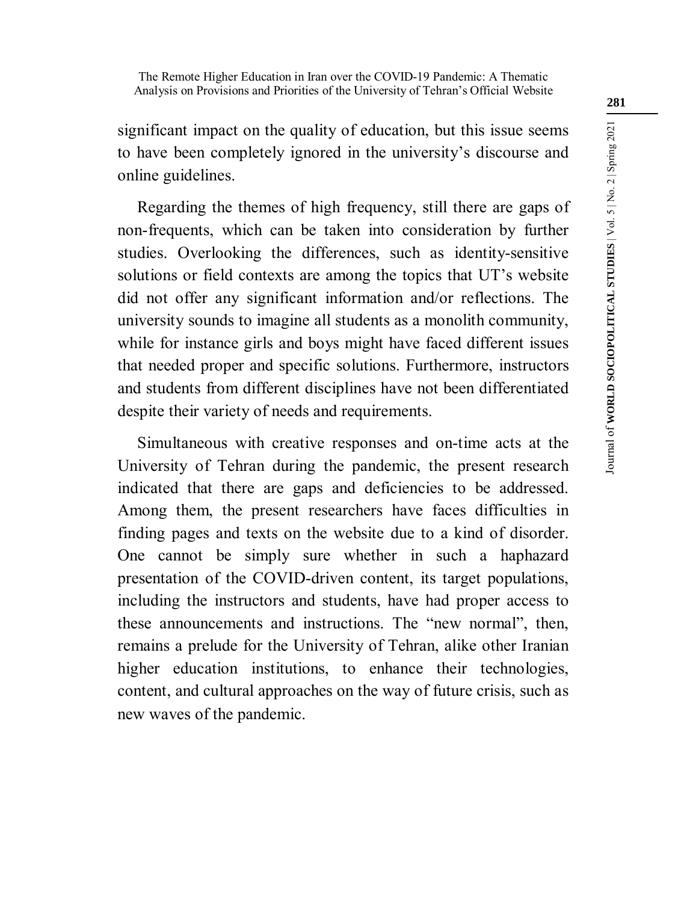significant impact on the quality of education, but this issue seems to have been completely ignored in the university's discourse and online guidelines.

Regarding the themes of high frequency, still there are gaps of non-frequents, which can be taken into consideration by further studies. Overlooking the differences, such as identity-sensitive solutions or field contexts are among the topics that UT's website did not offer any significant information and/or reflections. The university sounds to imagine all students as a monolith community, while for instance girls and boys might have faced different issues that needed proper and specific solutions. Furthermore, instructors and students from different disciplines have not been differentiated despite their variety of needs and requirements.

Simultaneous with creative responses and on-time acts at the University of Tehran during the pandemic, the present research indicated that there are gaps and deficiencies to be addressed. Among them, the present researchers have faces difficulties in finding pages and texts on the website due to a kind of disorder. One cannot be simply sure whether in such a haphazard presentation of the COVID-driven content, its target populations, including the instructors and students, have had proper access to these announcements and instructions. The "new normal", then, remains a prelude for the University of Tehran, alike other Iranian higher education institutions, to enhance their technologies, content, and cultural approaches on the way of future crisis, such as new waves of the pandemic.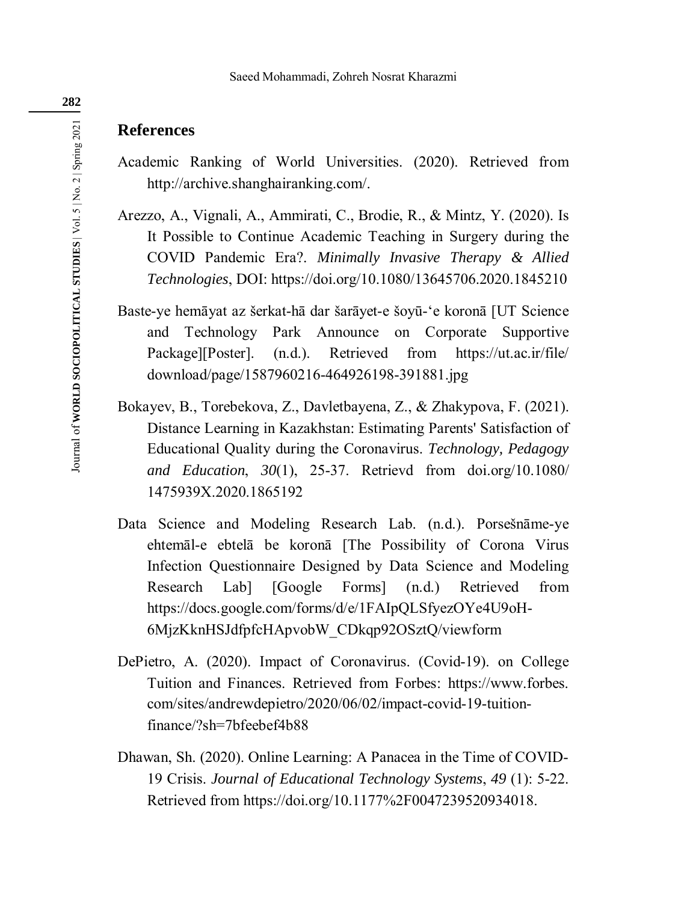### **References**

- Academic Ranking of World Universities. (2020). Retrieved from http://archive.shanghairanking.com/.
- Arezzo, A., Vignali, A., Ammirati, C., Brodie, R., & Mintz, Y. (2020). Is It Possible to Continue Academic Teaching in Surgery during the COVID Pandemic Era?. *Minimally Invasive Therapy & Allied Technologies*, DOI: https://doi.org/10.1080/13645706.2020.1845210
- Baste-ye hemāyat az šerkat-hā dar šarāyet-e šoyū-'e koronā [UT Science and Technology Park Announce on Corporate Supportive Package][Poster]. (n.d.). Retrieved from https://ut.ac.ir/file/ download/page/1587960216-464926198-391881.jpg
- Bokayev, B., Torebekova, Z., Davletbayena, Z., & Zhakypova, F. (2021). Distance Learning in Kazakhstan: Estimating Parents' Satisfaction of Educational Quality during the Coronavirus. *Technology, Pedagogy and Education*, *30*(1), 25-37. Retrievd from doi.org/10.1080/ 1475939X.2020.1865192
- Data Science and Modeling Research Lab. (n.d.). Porsešnāme-ye ehtemāl-e ebtelā be koronā [The Possibility of Corona Virus Infection Questionnaire Designed by Data Science and Modeling Research Lab] [Google Forms] (n.d.) Retrieved from https://docs.google.com/forms/d/e/1FAIpQLSfyezOYe4U9oH-6MjzKknHSJdfpfcHApvobW\_CDkqp92OSztQ/viewform
- DePietro, A. (2020). Impact of Coronavirus. (Covid-19). on College Tuition and Finances. Retrieved from Forbes: https://www.forbes. com/sites/andrewdepietro/2020/06/02/impact-covid-19-tuitionfinance/?sh=7bfeebef4b88
- Dhawan, Sh. (2020). Online Learning: A Panacea in the Time of COVID-19 Crisis. *Journal of Educational Technology Systems*, *49* (1): 5-22. Retrieved from https://doi.org/10.1177%2F0047239520934018.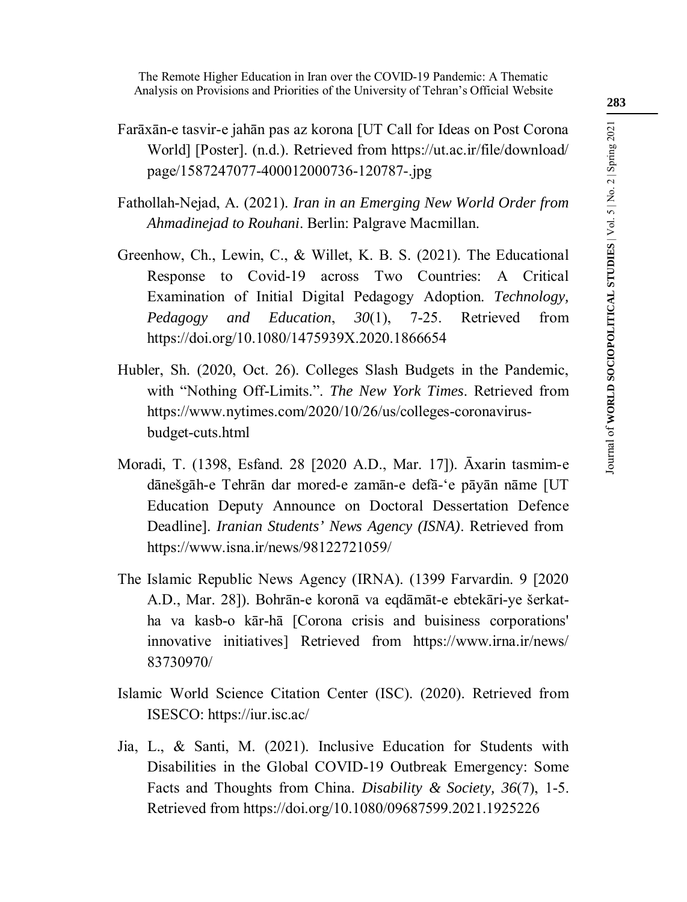The Remote Higher Education in Iran over the COVID-19 Pandemic: A Thematic Analysis on Provisions and Priorities of the University of Tehran's Official Website

- Farāxān-e tasvir-e jahān pas az korona [UT Call for Ideas on Post Corona World] [Poster]. (n.d.). Retrieved from https://ut.ac.ir/file/download/ page/1587247077-400012000736-120787-.jpg
- Fathollah-Nejad, A. (2021). *Iran in an Emerging New World Order from Ahmadinejad to Rouhani*. Berlin: Palgrave Macmillan.
- Greenhow, Ch., Lewin, C., & Willet, K. B. S. (2021). The Educational Response to Covid-19 across Two Countries: A Critical Examination of Initial Digital Pedagogy Adoption. *Technology, Pedagogy and Education*, *30*(1), 7-25. Retrieved from https://doi.org/10.1080/1475939X.2020.1866654
- Hubler, Sh. (2020, Oct. 26). Colleges Slash Budgets in the Pandemic, with "Nothing Off-Limits.". *The New York Times*. Retrieved from https://www.nytimes.com/2020/10/26/us/colleges-coronavirusbudget-cuts.html
- Moradi, T. (1398, Esfand. 28 [2020 A.D., Mar. 17]). Āxarin tasmim-e dānešgāh-e Tehrān dar mored-e zamān-e defā-'e pāyān nāme [UT Education Deputy Announce on Doctoral Dessertation Defence Deadline]. *Iranian Students' News Agency (ISNA)*. Retrieved from https://www.isna.ir/news/98122721059/
- The Islamic Republic News Agency (IRNA). (1399 Farvardin. 9 [2020 A.D., Mar. 28]). Bohrān-e koronā va eqdāmāt-e ebtekāri-ye šerkatha va kasb-o kār-hā [Corona crisis and buisiness corporations' innovative initiatives] Retrieved from https://www.irna.ir/news/ 83730970/
- Islamic World Science Citation Center (ISC). (2020). Retrieved from ISESCO: https://iur.isc.ac/
- Jia, L., & Santi, M. (2021). Inclusive Education for Students with Disabilities in the Global COVID-19 Outbreak Emergency: Some Facts and Thoughts from China. *Disability & Society, 36*(7), 1-5. Retrieved from https://doi.org/10.1080/09687599.2021.1925226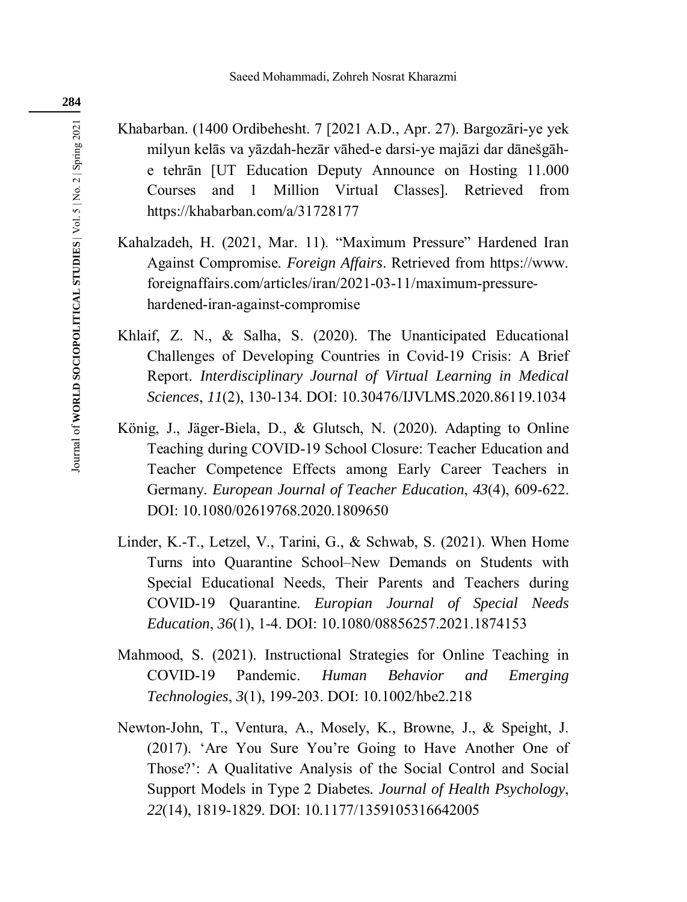Khabarban. (1400 Ordibehesht. 7 [2021 A.D., Apr. 27). Bargozāri-ye yek milyun kelās va yāzdah-hezār vāhed-e darsi-ye majāzi dar dānešgāhe tehrān [UT Education Deputy Announce on Hosting 11.000 Courses and 1 Million Virtual Classes]. Retrieved from https://khabarban.com/a/31728177

- Kahalzadeh, H. (2021, Mar. 11). "Maximum Pressure" Hardened Iran Against Compromise. *Foreign Affairs*. Retrieved from https://www. foreignaffairs.com/articles/iran/2021-03-11/maximum-pressurehardened-iran-against-compromise
- Khlaif, Z. N., & Salha, S. (2020). The Unanticipated Educational Challenges of Developing Countries in Covid-19 Crisis: A Brief Report. *Interdisciplinary Journal of Virtual Learning in Medical Sciences*, *11*(2), 130-134. DOI: 10.30476/IJVLMS.2020.86119.1034
- König, J., Jäger-Biela, D., & Glutsch, N. (2020). Adapting to Online Teaching during COVID-19 School Closure: Teacher Education and Teacher Competence Effects among Early Career Teachers in Germany. *European Journal of Teacher Education*, *43*(4), 609-622. DOI: 10.1080/02619768.2020.1809650
- Linder, K.-T., Letzel, V., Tarini, G., & Schwab, S. (2021). When Home Turns into Quarantine School–New Demands on Students with Special Educational Needs, Their Parents and Teachers during COVID-19 Quarantine. *Europian Journal of Special Needs Education*, *36*(1), 1-4. DOI: 10.1080/08856257.2021.1874153
- Mahmood, S. (2021). Instructional Strategies for Online Teaching in COVID-19 Pandemic. *Human Behavior and Emerging Technologies*, *3*(1), 199-203. DOI: 10.1002/hbe2.218
- Newton-John, T., Ventura, A., Mosely, K., Browne, J., & Speight, J. (2017). 'Are You Sure You're Going to Have Another One of Those?': A Qualitative Analysis of the Social Control and Social Support Models in Type 2 Diabetes*. Journal of Health Psychology*, *22*(14), 1819-1829. DOI: 10.1177/1359105316642005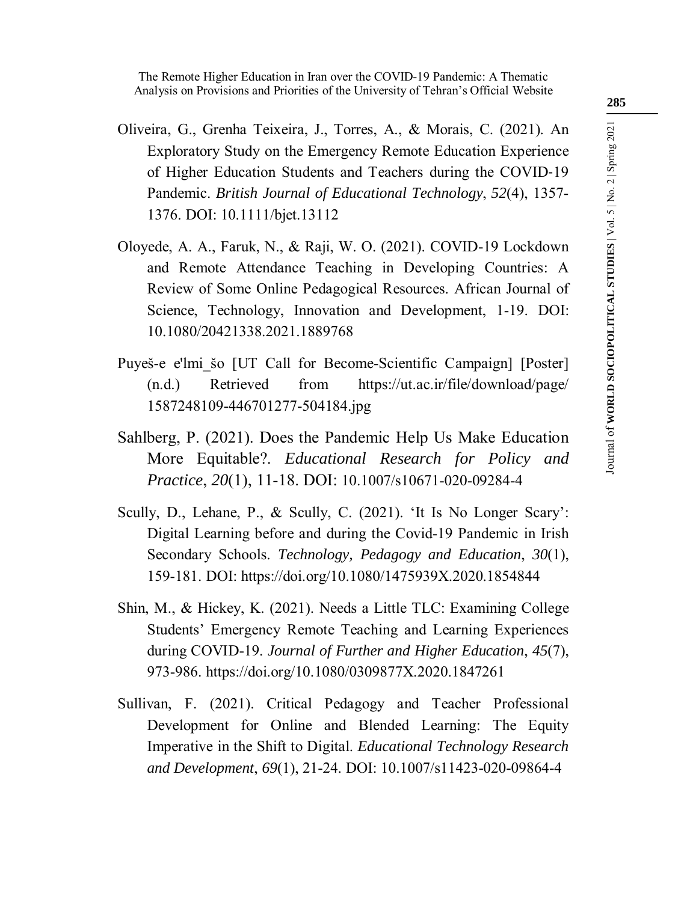- Oliveira, G., Grenha Teixeira, J., Torres, A., & Morais, C. (2021). An Exploratory Study on the Emergency Remote Education Experience of Higher Education Students and Teachers during the COVID‐19 Pandemic. *British Journal of Educational Technology*, *52*(4), 1357- 1376. DOI: 10.1111/bjet.13112
- Oloyede, A. A., Faruk, N., & Raji, W. O. (2021). COVID-19 Lockdown and Remote Attendance Teaching in Developing Countries: A Review of Some Online Pedagogical Resources. African Journal of Science, Technology, Innovation and Development, 1-19. DOI: 10.1080/20421338.2021.1889768
- Puyeš-e e'lmi šo [UT Call for Become-Scientific Campaign] [Poster] (n.d.) Retrieved from https://ut.ac.ir/file/download/page/ 1587248109-446701277-504184.jpg
- Sahlberg, P. (2021). Does the Pandemic Help Us Make Education More Equitable?. *Educational Research for Policy and Practice*, *20*(1), 11-18. DOI: 10.1007/s10671-020-09284-4
- Scully, D., Lehane, P., & Scully, C. (2021). 'It Is No Longer Scary': Digital Learning before and during the Covid-19 Pandemic in Irish Secondary Schools. *Technology, Pedagogy and Education*, *30*(1), 159-181. DOI: https://doi.org/10.1080/1475939X.2020.1854844
- Shin, M., & Hickey, K. (2021). Needs a Little TLC: Examining College Students' Emergency Remote Teaching and Learning Experiences during COVID-19. *Journal of Further and Higher Education*, *45*(7), 973-986. https://doi.org/10.1080/0309877X.2020.1847261
- Sullivan, F. (2021). Critical Pedagogy and Teacher Professional Development for Online and Blended Learning: The Equity Imperative in the Shift to Digital. *Educational Technology Research and Development*, *69*(1), 21-24. DOI: 10.1007/s11423-020-09864-4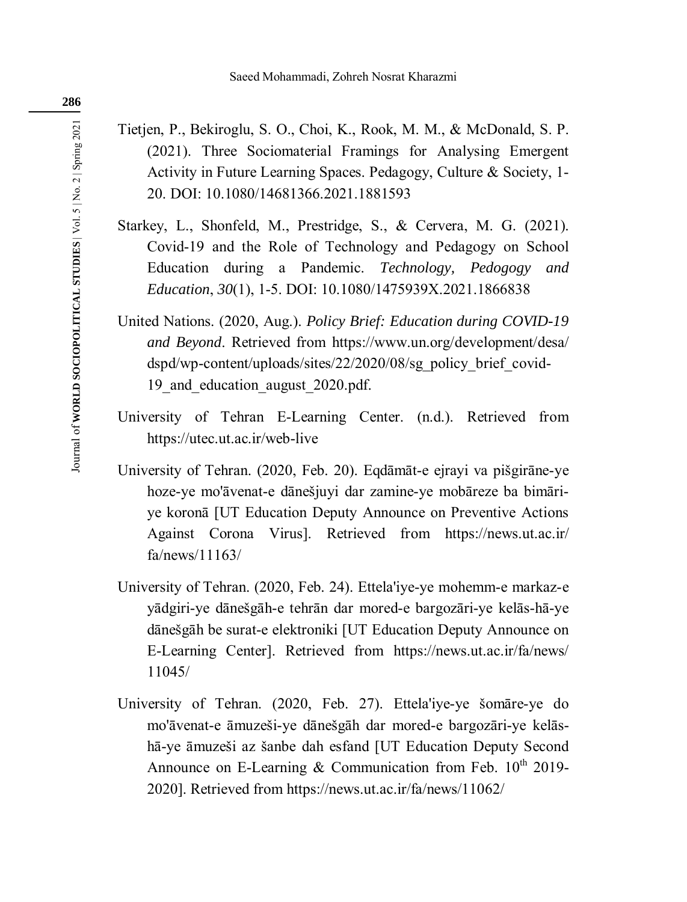- Tietjen, P., Bekiroglu, S. O., Choi, K., Rook, M. M., & McDonald, S. P. (2021). Three Sociomaterial Framings for Analysing Emergent Activity in Future Learning Spaces. Pedagogy, Culture & Society, 1- 20. DOI: 10.1080/14681366.2021.1881593
- Starkey, L., Shonfeld, M., Prestridge, S., & Cervera, M. G. (2021). Covid-19 and the Role of Technology and Pedagogy on School Education during a Pandemic. *Technology, Pedogogy and Education*, *30*(1), 1-5. DOI: 10.1080/1475939X.2021.1866838
- United Nations. (2020, Aug.). *Policy Brief: Education during COVID-19 and Beyond*. Retrieved from https://www.un.org/development/desa/ dspd/wp-content/uploads/sites/22/2020/08/sg\_policy\_brief\_covid-19 and education august 2020.pdf.
- University of Tehran E-Learning Center. (n.d.). Retrieved from https://utec.ut.ac.ir/web-live
- University of Tehran. (2020, Feb. 20). Eqdāmāt-e ejrayi va pišgirāne-ye hoze-ye mo'āvenat-e dānešjuyi dar zamine-ye mobāreze ba bimāriye koronā [UT Education Deputy Announce on Preventive Actions Against Corona Virus]. Retrieved from https://news.ut.ac.ir/ fa/news/11163/
- University of Tehran. (2020, Feb. 24). Ettela'iye-ye mohemm-e markaz-e yādgiri-ye dānešgāh-e tehrān dar mored-e bargozāri-ye kelās-hā-ye dānešgāh be surat-e elektroniki [UT Education Deputy Announce on E-Learning Center]. Retrieved from https://news.ut.ac.ir/fa/news/ 11045/
- University of Tehran. (2020, Feb. 27). Ettela'iye-ye šomāre-ye do mo'āvenat-e āmuzeši-ye dānešgāh dar mored-e bargozāri-ye kelāshā-ye āmuzeši az šanbe dah esfand [UT Education Deputy Second Announce on E-Learning & Communication from Feb.  $10^{th}$  2019-2020]. Retrieved from https://news.ut.ac.ir/fa/news/11062/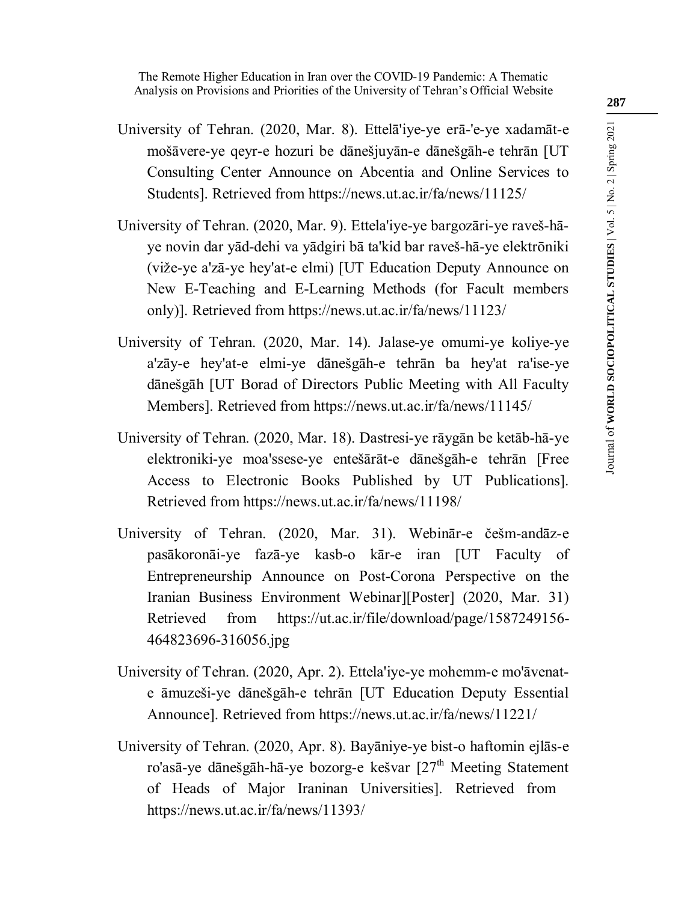- University of Tehran. (2020, Mar. 8). Ettelā'iye-ye erā-'e-ye xadamāt-e mošāvere-ye qeyr-e hozuri be dānešjuyān-e dānešgāh-e tehrān [UT Consulting Center Announce on Abcentia and Online Services to Students]. Retrieved from https://news.ut.ac.ir/fa/news/11125/
- University of Tehran. (2020, Mar. 9). Ettela'iye-ye bargozāri-ye raveš-hāye novin dar yād-dehi va yādgiri bā ta'kid bar raveš-hā-ye elektrōniki (viže-ye a'zā-ye hey'at-e elmi) [UT Education Deputy Announce on New E-Teaching and E-Learning Methods (for Facult members only)]. Retrieved from https://news.ut.ac.ir/fa/news/11123/
- University of Tehran. (2020, Mar. 14). Jalase-ye omumi-ye koliye-ye a'zāy-e hey'at-e elmi-ye dānešgāh-e tehrān ba hey'at ra'ise-ye dānešgāh [UT Borad of Directors Public Meeting with All Faculty Members]. Retrieved from https://news.ut.ac.ir/fa/news/11145/
- University of Tehran. (2020, Mar. 18). Dastresi-ye rāygān be ketāb-hā-ye elektroniki-ye moa'ssese-ye entešārāt-e dānešgāh-e tehrān [Free Access to Electronic Books Published by UT Publications]. Retrieved from https://news.ut.ac.ir/fa/news/11198/
- University of Tehran. (2020, Mar. 31). Webinār-e češm-andāz-e pasākoronāi-ye fazā-ye kasb-o kār-e iran [UT Faculty of Entrepreneurship Announce on Post-Corona Perspective on the Iranian Business Environment Webinar][Poster] (2020, Mar. 31) Retrieved from https://ut.ac.ir/file/download/page/1587249156-464823696-316056.jpg
- University of Tehran. (2020, Apr. 2). Ettela'iye-ye mohemm-e mo'āvenate āmuzeši-ye dānešgāh-e tehrān [UT Education Deputy Essential Announce]. Retrieved from https://news.ut.ac.ir/fa/news/11221/
- University of Tehran. (2020, Apr. 8). Bayāniye-ye bist-o haftomin ejlās-e ro'asā-ye dānešgāh-hā-ye bozorg-e kešvar  $[27<sup>th</sup>$  Meeting Statement of Heads of Major Iraninan Universities]. Retrieved from https://news.ut.ac.ir/fa/news/11393/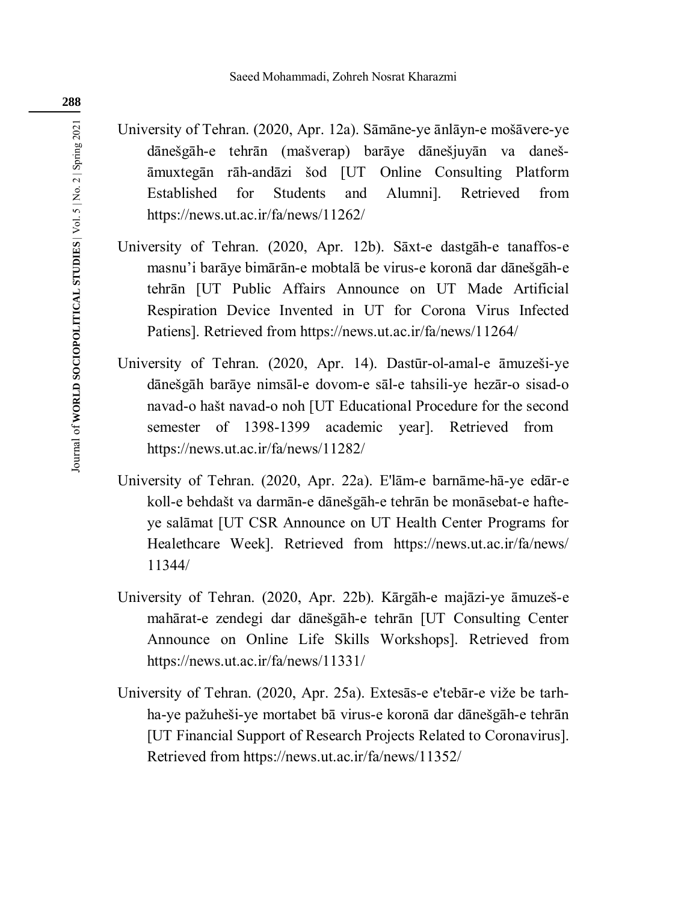- University of Tehran. (2020, Apr. 12a). Sāmāne-ye ānlāyn-e mošāvere-ye dānešgāh-e tehrān (mašverap) barāye dānešjuyān va danešāmuxtegān rāh-andāzi šod [UT Online Consulting Platform Established for Students and Alumni]. Retrieved from https://news.ut.ac.ir/fa/news/11262/
- University of Tehran. (2020, Apr. 12b). Sāxt-e dastgāh-e tanaffos-e masnu'i barāye bimārān-e mobtalā be virus-e koronā dar dānešgāh-e tehrān [UT Public Affairs Announce on UT Made Artificial Respiration Device Invented in UT for Corona Virus Infected Patiens]. Retrieved from https://news.ut.ac.ir/fa/news/11264/
- University of Tehran. (2020, Apr. 14). Dastūr-ol-amal-e āmuzeši-ye dānešgāh barāye nimsāl-e dovom-e sāl-e tahsili-ye hezār-o sisad-o navad-o hašt navad-o noh [UT Educational Procedure for the second semester of 1398-1399 academic year]. Retrieved from https://news.ut.ac.ir/fa/news/11282/
- University of Tehran. (2020, Apr. 22a). E'lām-e barnāme-hā-ye edār-e koll-e behdašt va darmān-e dānešgāh-e tehrān be monāsebat-e hafteye salāmat [UT CSR Announce on UT Health Center Programs for Healethcare Week]. Retrieved from https://news.ut.ac.ir/fa/news/ 11344/
- University of Tehran. (2020, Apr. 22b). Kārgāh-e majāzi-ye āmuzeš-e mahārat-e zendegi dar dānešgāh-e tehrān [UT Consulting Center Announce on Online Life Skills Workshops]. Retrieved from https://news.ut.ac.ir/fa/news/11331/
- University of Tehran. (2020, Apr. 25a). Extesās-e e'tebār-e viže be tarhha-ye pažuheši-ye mortabet bā virus-e koronā dar dānešgāh-e tehrān [UT Financial Support of Research Projects Related to Coronavirus]. Retrieved from https://news.ut.ac.ir/fa/news/11352/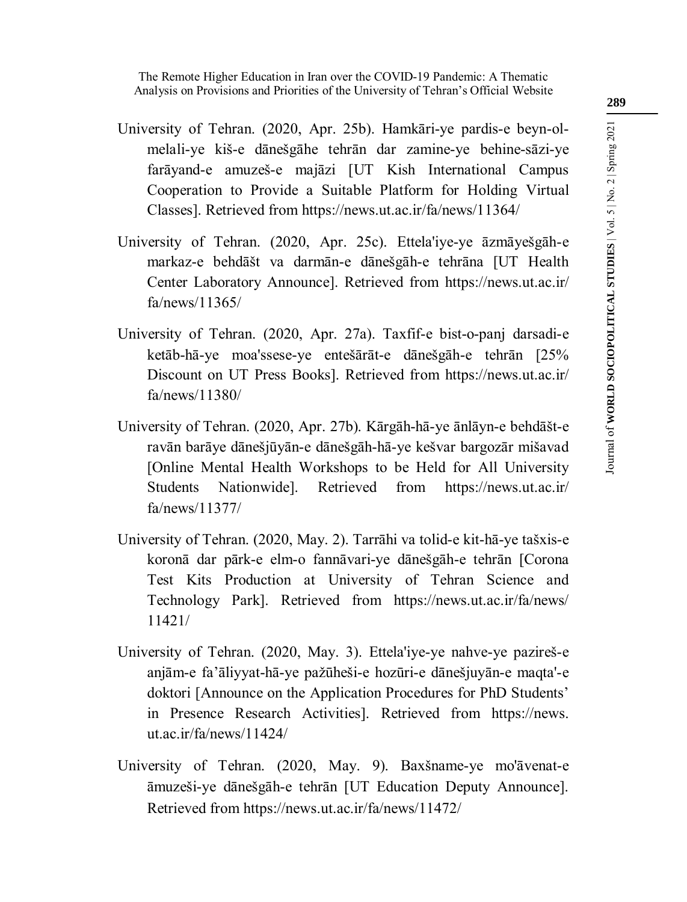- University of Tehran. (2020, Apr. 25b). Hamkāri-ye pardis-e beyn-olmelali-ye kiš-e dānešgāhe tehrān dar zamine-ye behine-sāzi-ye farāyand-e amuzeš-e majāzi [UT Kish International Campus Cooperation to Provide a Suitable Platform for Holding Virtual Classes]. Retrieved from https://news.ut.ac.ir/fa/news/11364/
- University of Tehran. (2020, Apr. 25c). Ettela'iye-ye āzmāyešgāh-e markaz-e behdāšt va darmān-e dānešgāh-e tehrāna [UT Health Center Laboratory Announce]. Retrieved from https://news.ut.ac.ir/ fa/news/11365/
- University of Tehran. (2020, Apr. 27a). Taxfif-e bist-o-panj darsadi-e ketāb-hā-ye moa'ssese-ye entešārāt-e dānešgāh-e tehrān [25% Discount on UT Press Books]. Retrieved from https://news.ut.ac.ir/ fa/news/11380/
- University of Tehran. (2020, Apr. 27b). Kārgāh-hā-ye ānlāyn-e behdāšt-e ravān barāye dānešjūyān-e dānešgāh-hā-ye kešvar bargozār mišavad [Online Mental Health Workshops to be Held for All University Students Nationwide]. Retrieved from https://news.ut.ac.ir/ fa/news/11377/
- University of Tehran. (2020, May. 2). Tarrāhi va tolid-e kit-hā-ye tašxis-e koronā dar pārk-e elm-o fannāvari-ye dānešgāh-e tehrān [Corona Test Kits Production at University of Tehran Science and Technology Park]. Retrieved from https://news.ut.ac.ir/fa/news/ 11421/
- University of Tehran. (2020, May. 3). Ettela'iye-ye nahve-ye pazireš-e anjām-e fa'āliyyat-hā-ye pažūheši-e hozūri-e dānešjuyān-e maqta'-e doktori [Announce on the Application Procedures for PhD Students' in Presence Research Activities]. Retrieved from https://news. ut.ac.ir/fa/news/11424/
- University of Tehran. (2020, May. 9). Baxšname-ye mo'āvenat-e āmuzeši-ye dānešgāh-e tehrān [UT Education Deputy Announce]. Retrieved from https://news.ut.ac.ir/fa/news/11472/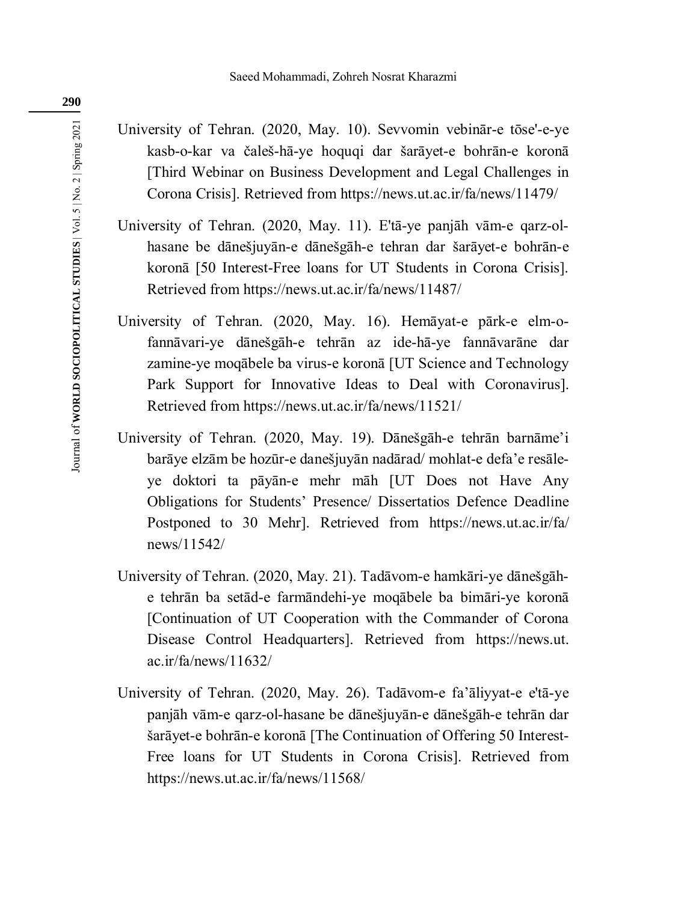- University of Tehran. (2020, May. 10). Sevvomin vebinār-e tōse'-e-ye kasb-o-kar va čaleš-hā-ye hoquqi dar šarāyet-e bohrān-e koronā [Third Webinar on Business Development and Legal Challenges in Corona Crisis]. Retrieved from https://news.ut.ac.ir/fa/news/11479/
- University of Tehran. (2020, May. 11). E'tā-ye panjāh vām-e qarz-olhasane be dānešjuyān-e dānešgāh-e tehran dar šarāyet-e bohrān-e koronā [50 Interest-Free loans for UT Students in Corona Crisis]. Retrieved from https://news.ut.ac.ir/fa/news/11487/
- University of Tehran. (2020, May. 16). Hemāyat-e pārk-e elm-ofannāvari-ye dānešgāh-e tehrān az ide-hā-ye fannāvarāne dar zamine-ye moqābele ba virus-e koronā [UT Science and Technology Park Support for Innovative Ideas to Deal with Coronavirus]. Retrieved from https://news.ut.ac.ir/fa/news/11521/
- University of Tehran. (2020, May. 19). Dānešgāh-e tehrān barnāme'i barāye elzām be hozūr-e danešjuyān nadārad/ mohlat-e defa'e resāleye doktori ta pāyān-e mehr māh [UT Does not Have Any Obligations for Students' Presence/ Dissertatios Defence Deadline Postponed to 30 Mehr]. Retrieved from https://news.ut.ac.ir/fa/ news/11542/
- University of Tehran. (2020, May. 21). Tadāvom-e hamkāri-ye dānešgāhe tehrān ba setād-e farmāndehi-ye moqābele ba bimāri-ye koronā [Continuation of UT Cooperation with the Commander of Corona Disease Control Headquarters]. Retrieved from https://news.ut. ac.ir/fa/news/11632/
- University of Tehran. (2020, May. 26). Tadāvom-e fa'āliyyat-e e'tā-ye panjāh vām-e qarz-ol-hasane be dānešjuyān-e dānešgāh-e tehrān dar šarāyet-e bohrān-e koronā [The Continuation of Offering 50 Interest-Free loans for UT Students in Corona Crisis]. Retrieved from https://news.ut.ac.ir/fa/news/11568/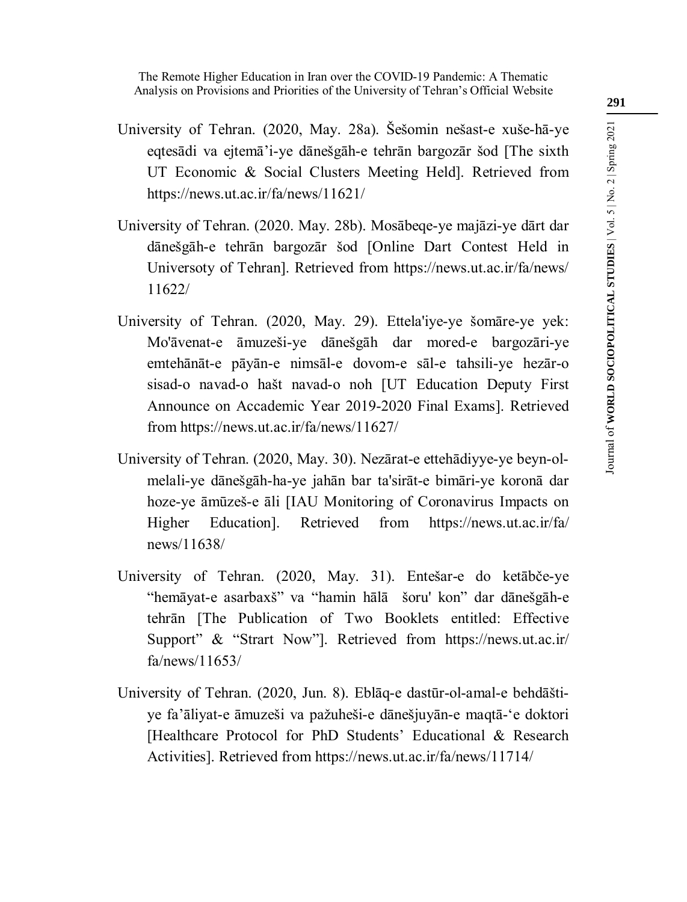- University of Tehran. (2020, May. 28a). Šešomin nešast-e xuše-hā-ye eqtesādi va ejtemā'i-ye dānešgāh-e tehrān bargozār šod [The sixth UT Economic & Social Clusters Meeting Held]. Retrieved from https://news.ut.ac.ir/fa/news/11621/
- University of Tehran. (2020. May. 28b). Mosābeqe-ye majāzi-ye dārt dar dānešgāh-e tehrān bargozār šod [Online Dart Contest Held in Universoty of Tehran]. Retrieved from https://news.ut.ac.ir/fa/news/ 11622/
- University of Tehran. (2020, May. 29). Ettela'iye-ye šomāre-ye yek: Mo'āvenat-e āmuzeši-ye dānešgāh dar mored-e bargozāri-ye emtehānāt-e pāyān-e nimsāl-e dovom-e sāl-e tahsili-ye hezār-o sisad-o navad-o hašt navad-o noh [UT Education Deputy First Announce on Accademic Year 2019-2020 Final Exams]. Retrieved from https://news.ut.ac.ir/fa/news/11627/
- University of Tehran. (2020, May. 30). Nezārat-e ettehādiyye-ye beyn-olmelali-ye dānešgāh-ha-ye jahān bar ta'sirāt-e bimāri-ye koronā dar hoze-ye āmūzeš-e āli [IAU Monitoring of Coronavirus Impacts on Higher Education]. Retrieved from https://news.ut.ac.ir/fa/ news/11638/
- University of Tehran. (2020, May. 31). Entešar-e do ketābče-ye "hemāyat-e asarbaxš" va "hamin hālā šoru' kon" dar dānešgāh-e tehrān [The Publication of Two Booklets entitled: Effective Support" & "Strart Now"]. Retrieved from https://news.ut.ac.ir/ fa/news/11653/
- University of Tehran. (2020, Jun. 8). Eblāq-e dastūr-ol-amal-e behdāštiye fa'āliyat-e āmuzeši va pažuheši-e dānešjuyān-e maqtā-'e doktori [Healthcare Protocol for PhD Students' Educational & Research Activities]. Retrieved from https://news.ut.ac.ir/fa/news/11714/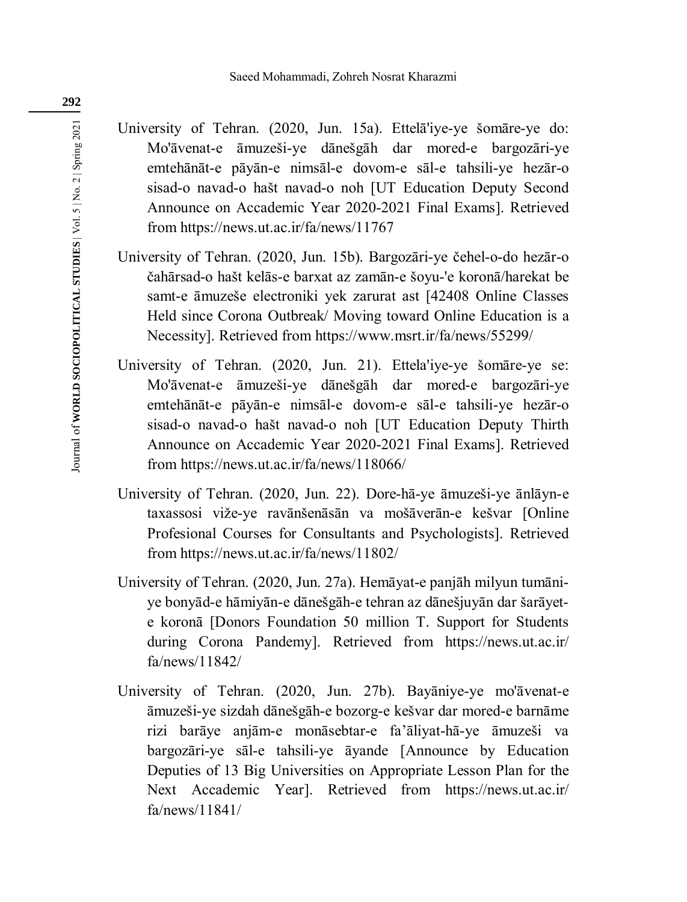- University of Tehran. (2020, Jun. 15a). Ettelā'iye-ye šomāre-ye do: Mo'āvenat-e āmuzeši-ye dānešgāh dar mored-e bargozāri-ye emtehānāt-e pāyān-e nimsāl-e dovom-e sāl-e tahsili-ye hezār-o sisad-o navad-o hašt navad-o noh [UT Education Deputy Second Announce on Accademic Year 2020-2021 Final Exams]. Retrieved from https://news.ut.ac.ir/fa/news/11767
- University of Tehran. (2020, Jun. 15b). Bargozāri-ye čehel-o-do hezār-o čahārsad-o hašt kelās-e barxat az zamān-e šoyu-'e koronā/harekat be samt-e āmuzeše electroniki yek zarurat ast [42408 Online Classes Held since Corona Outbreak/ Moving toward Online Education is a Necessity]. Retrieved from https://www.msrt.ir/fa/news/55299/
- University of Tehran. (2020, Jun. 21). Ettela'iye-ye šomāre-ye se: Mo'āvenat-e āmuzeši-ye dānešgāh dar mored-e bargozāri-ye emtehānāt-e pāyān-e nimsāl-e dovom-e sāl-e tahsili-ye hezār-o sisad-o navad-o hašt navad-o noh [UT Education Deputy Thirth Announce on Accademic Year 2020-2021 Final Exams]. Retrieved from https://news.ut.ac.ir/fa/news/118066/
- University of Tehran. (2020, Jun. 22). Dore-hā-ye āmuzeši-ye ānlāyn-e taxassosi viže-ye ravānšenāsān va mošāverān-e kešvar [Online Profesional Courses for Consultants and Psychologists]. Retrieved from https://news.ut.ac.ir/fa/news/11802/
- University of Tehran. (2020, Jun. 27a). Hemāyat-e panjāh milyun tumāniye bonyād-e hāmiyān-e dānešgāh-e tehran az dānešjuyān dar šarāyete koronā [Donors Foundation 50 million T. Support for Students during Corona Pandemy]. Retrieved from https://news.ut.ac.ir/ fa/news/11842/
- University of Tehran. (2020, Jun. 27b). Bayāniye-ye mo'āvenat-e āmuzeši-ye sizdah dānešgāh-e bozorg-e kešvar dar mored-e barnāme rizi barāye anjām-e monāsebtar-e fa'āliyat-hā-ye āmuzeši va bargozāri-ye sāl-e tahsili-ye āyande [Announce by Education Deputies of 13 Big Universities on Appropriate Lesson Plan for the Next Accademic Year]. Retrieved from https://news.ut.ac.ir/ fa/news/11841/

**292**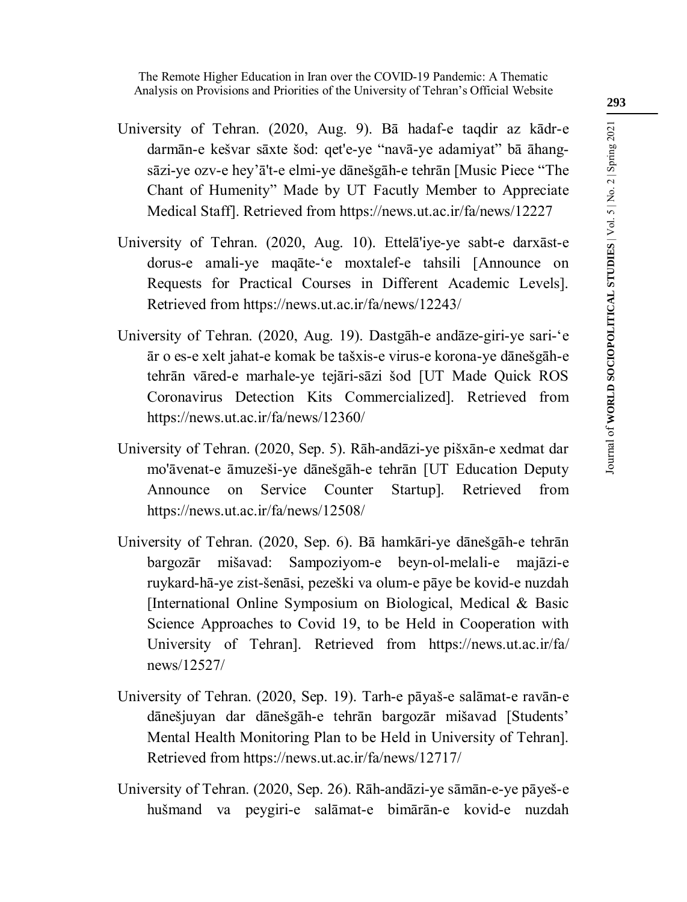- University of Tehran. (2020, Aug. 9). Bā hadaf-e taqdir az kādr-e darmān-e kešvar sāxte šod: qet'e-ye "navā-ye adamiyat" bā āhangsāzi-ye ozv-e hey'ā't-e elmi-ye dānešgāh-e tehrān [Music Piece "The Chant of Humenity" Made by UT Facutly Member to Appreciate Medical Staff]. Retrieved from https://news.ut.ac.ir/fa/news/12227
- University of Tehran. (2020, Aug. 10). Ettelā'iye-ye sabt-e darxāst-e dorus-e amali-ye maqāte-'e moxtalef-e tahsili [Announce on Requests for Practical Courses in Different Academic Levels]. Retrieved from https://news.ut.ac.ir/fa/news/12243/
- University of Tehran. (2020, Aug. 19). Dastgāh-e andāze-giri-ye sari-'e ār o es-e xelt jahat-e komak be tašxis-e virus-e korona-ye dānešgāh-e tehrān vāred-e marhale-ye tejāri-sāzi šod [UT Made Quick ROS Coronavirus Detection Kits Commercialized]. Retrieved from https://news.ut.ac.ir/fa/news/12360/
- University of Tehran. (2020, Sep. 5). Rāh-andāzi-ye pišxān-e xedmat dar mo'āvenat-e āmuzeši-ye dānešgāh-e tehrān [UT Education Deputy Announce on Service Counter Startup]. Retrieved from https://news.ut.ac.ir/fa/news/12508/
- University of Tehran. (2020, Sep. 6). Bā hamkāri-ye dānešgāh-e tehrān bargozār mišavad: Sampoziyom-e beyn-ol-melali-e majāzi-e ruykard-hā-ye zist-šenāsi, pezeški va olum-e pāye be kovid-e nuzdah [International Online Symposium on Biological, Medical  $\&$  Basic Science Approaches to Covid 19, to be Held in Cooperation with University of Tehran]. Retrieved from https://news.ut.ac.ir/fa/ news/12527/
- University of Tehran. (2020, Sep. 19). Tarh-e pāyaš-e salāmat-e ravān-e dānešjuyan dar dānešgāh-e tehrān bargozār mišavad [Students' Mental Health Monitoring Plan to be Held in University of Tehran]. Retrieved from https://news.ut.ac.ir/fa/news/12717/
- University of Tehran. (2020, Sep. 26). Rāh-andāzi-ye sāmān-e-ye pāyeš-e hušmand va peygiri-e salāmat-e bimārān-e kovid-e nuzdah